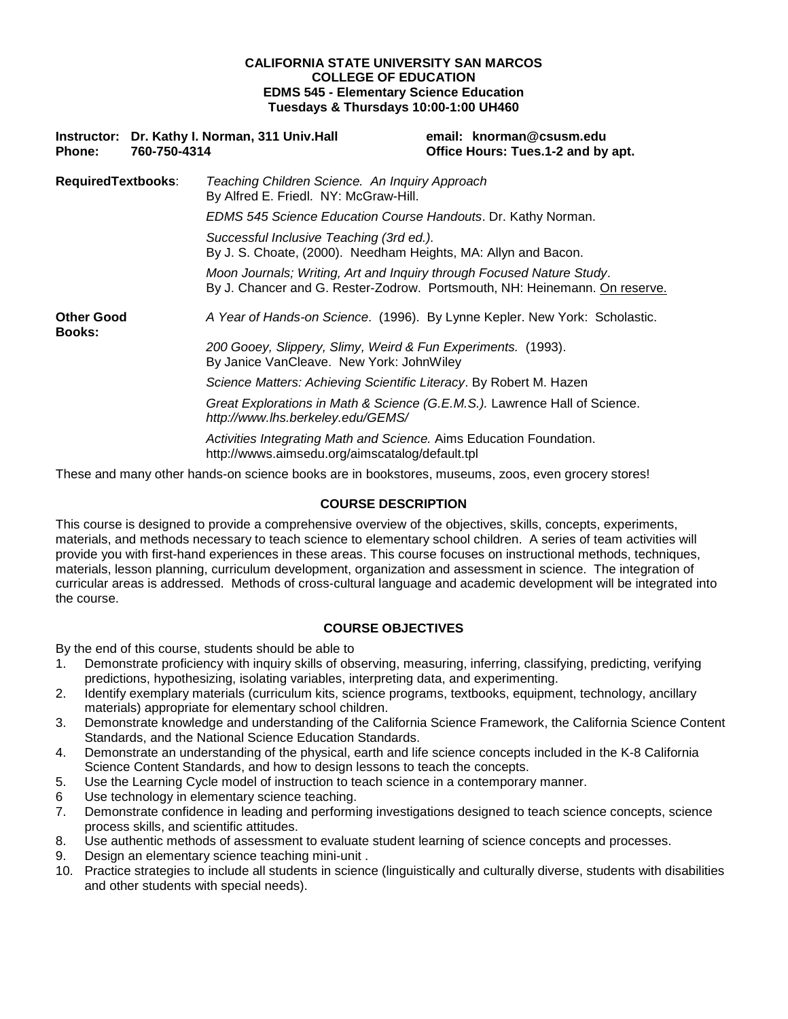## **CALIFORNIA STATE UNIVERSITY SAN MARCOS COLLEGE OF EDUCATION EDMS 545 - Elementary Science Education Tuesdays & Thursdays 10:00-1:00 UH460**

| <b>Phone:</b>               | 760-750-4314 | Instructor: Dr. Kathy I. Norman, 311 Univ. Hall                                                                        | email: knorman@csusm.edu<br>Office Hours: Tues.1-2 and by apt.             |  |
|-----------------------------|--------------|------------------------------------------------------------------------------------------------------------------------|----------------------------------------------------------------------------|--|
| <b>RequiredTextbooks:</b>   |              | Teaching Children Science. An Inquiry Approach<br>By Alfred E. Friedl. NY: McGraw-Hill.                                |                                                                            |  |
|                             |              | EDMS 545 Science Education Course Handouts. Dr. Kathy Norman.                                                          |                                                                            |  |
|                             |              | Successful Inclusive Teaching (3rd ed.).<br>By J. S. Choate, (2000). Needham Heights, MA: Allyn and Bacon.             |                                                                            |  |
|                             |              | Moon Journals; Writing, Art and Inquiry through Focused Nature Study.                                                  | By J. Chancer and G. Rester-Zodrow. Portsmouth, NH: Heinemann. On reserve. |  |
| <b>Other Good</b><br>Books: |              |                                                                                                                        | A Year of Hands-on Science. (1996). By Lynne Kepler. New York: Scholastic. |  |
|                             |              | 200 Gooey, Slippery, Slimy, Weird & Fun Experiments. (1993).<br>By Janice VanCleave. New York: JohnWiley               |                                                                            |  |
|                             |              | Science Matters: Achieving Scientific Literacy. By Robert M. Hazen                                                     |                                                                            |  |
|                             |              | http://www.lhs.berkeley.edu/GEMS/                                                                                      | Great Explorations in Math & Science (G.E.M.S.). Lawrence Hall of Science. |  |
|                             |              | Activities Integrating Math and Science. Aims Education Foundation.<br>http://wwws.aimsedu.org/aimscatalog/default.tpl |                                                                            |  |

These and many other hands-on science books are in bookstores, museums, zoos, even grocery stores!

## **COURSE DESCRIPTION**

This course is designed to provide a comprehensive overview of the objectives, skills, concepts, experiments, materials, and methods necessary to teach science to elementary school children. A series of team activities will provide you with first-hand experiences in these areas. This course focuses on instructional methods, techniques, materials, lesson planning, curriculum development, organization and assessment in science. The integration of curricular areas is addressed. Methods of cross-cultural language and academic development will be integrated into the course.

## **COURSE OBJECTIVES**

By the end of this course, students should be able to

- 1. Demonstrate proficiency with inquiry skills of observing, measuring, inferring, classifying, predicting, verifying predictions, hypothesizing, isolating variables, interpreting data, and experimenting.
- 2. Identify exemplary materials (curriculum kits, science programs, textbooks, equipment, technology, ancillary materials) appropriate for elementary school children.
- 3. Demonstrate knowledge and understanding of the California Science Framework, the California Science Content Standards, and the National Science Education Standards.
- 4. Demonstrate an understanding of the physical, earth and life science concepts included in the K-8 California Science Content Standards, and how to design lessons to teach the concepts.
- 5. Use the Learning Cycle model of instruction to teach science in a contemporary manner.
- 6 Use technology in elementary science teaching.
- 7. Demonstrate confidence in leading and performing investigations designed to teach science concepts, science process skills, and scientific attitudes.
- 8. Use authentic methods of assessment to evaluate student learning of science concepts and processes.
- 9. Design an elementary science teaching mini-unit .
- 10. Practice strategies to include all students in science (linguistically and culturally diverse, students with disabilities and other students with special needs).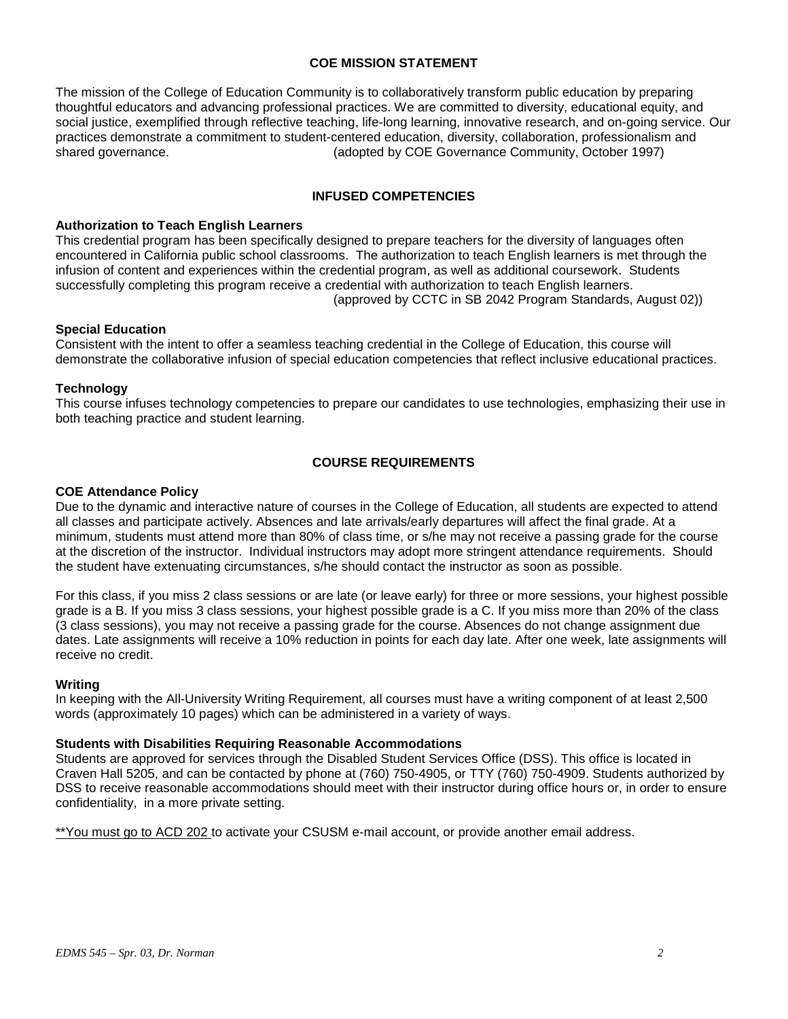## **COE MISSION STATEMENT**

The mission of the College of Education Community is to collaboratively transform public education by preparing thoughtful educators and advancing professional practices. We are committed to diversity, educational equity, and social justice, exemplified through reflective teaching, life-long learning, innovative research, and on-going service. Our practices demonstrate a commitment to student-centered education, diversity, collaboration, professionalism and shared governance. (adopted by COE Governance Community, October 1997)

## **INFUSED COMPETENCIES**

#### **Authorization to Teach English Learners**

This credential program has been specifically designed to prepare teachers for the diversity of languages often encountered in California public school classrooms. The authorization to teach English learners is met through the infusion of content and experiences within the credential program, as well as additional coursework. Students successfully completing this program receive a credential with authorization to teach English learners. (approved by CCTC in SB 2042 Program Standards, August 02))

## **Special Education**

Consistent with the intent to offer a seamless teaching credential in the College of Education, this course will demonstrate the collaborative infusion of special education competencies that reflect inclusive educational practices.

#### **Technology**

This course infuses technology competencies to prepare our candidates to use technologies, emphasizing their use in both teaching practice and student learning.

## **COURSE REQUIREMENTS**

#### **COE Attendance Policy**

Due to the dynamic and interactive nature of courses in the College of Education, all students are expected to attend all classes and participate actively. Absences and late arrivals/early departures will affect the final grade. At a minimum, students must attend more than 80% of class time, or s/he may not receive a passing grade for the course at the discretion of the instructor. Individual instructors may adopt more stringent attendance requirements. Should the student have extenuating circumstances, s/he should contact the instructor as soon as possible.

For this class, if you miss 2 class sessions or are late (or leave early) for three or more sessions, your highest possible grade is a B. If you miss 3 class sessions, your highest possible grade is a C. If you miss more than 20% of the class (3 class sessions), you may not receive a passing grade for the course. Absences do not change assignment due dates. Late assignments will receive a 10% reduction in points for each day late. After one week, late assignments will receive no credit.

#### **Writing**

In keeping with the All-University Writing Requirement, all courses must have a writing component of at least 2,500 words (approximately 10 pages) which can be administered in a variety of ways.

#### **Students with Disabilities Requiring Reasonable Accommodations**

Students are approved for services through the Disabled Student Services Office (DSS). This office is located in Craven Hall 5205, and can be contacted by phone at (760) 750-4905, or TTY (760) 750-4909. Students authorized by DSS to receive reasonable accommodations should meet with their instructor during office hours or, in order to ensure confidentiality, in a more private setting.

\*\*You must go to ACD 202 to activate your CSUSM e-mail account, or provide another email address.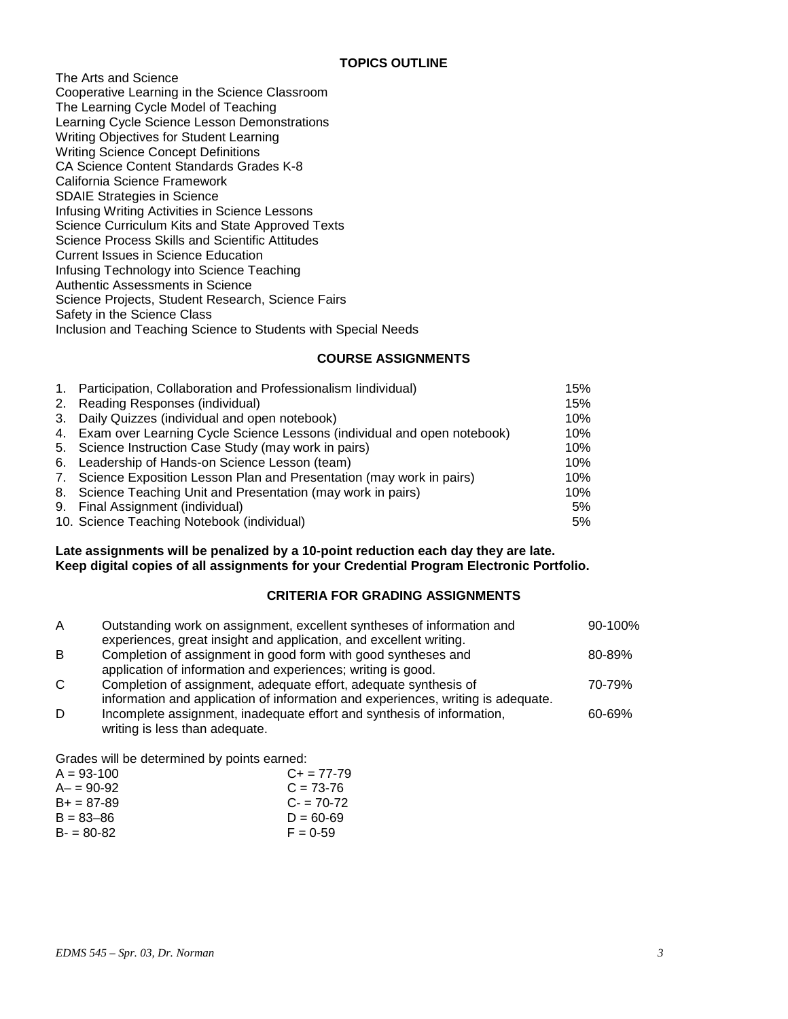The Arts and Science Cooperative Learning in the Science Classroom The Learning Cycle Model of Teaching Learning Cycle Science Lesson Demonstrations Writing Objectives for Student Learning Writing Science Concept Definitions CA Science Content Standards Grades K-8 California Science Framework SDAIE Strategies in Science Infusing Writing Activities in Science Lessons Science Curriculum Kits and State Approved Texts Science Process Skills and Scientific Attitudes Current Issues in Science Education Infusing Technology into Science Teaching Authentic Assessments in Science Science Projects, Student Research, Science Fairs Safety in the Science Class Inclusion and Teaching Science to Students with Special Needs

## **COURSE ASSIGNMENTS**

| 1. Participation, Collaboration and Professionalism lindividual)           | 15% |
|----------------------------------------------------------------------------|-----|
| 2. Reading Responses (individual)                                          | 15% |
| 3. Daily Quizzes (individual and open notebook)                            | 10% |
| 4. Exam over Learning Cycle Science Lessons (individual and open notebook) | 10% |
| 5. Science Instruction Case Study (may work in pairs)                      | 10% |
| 6. Leadership of Hands-on Science Lesson (team)                            | 10% |
| 7. Science Exposition Lesson Plan and Presentation (may work in pairs)     | 10% |
| 8. Science Teaching Unit and Presentation (may work in pairs)              | 10% |
| 9. Final Assignment (individual)                                           | 5%  |
| 10. Science Teaching Notebook (individual)                                 | 5%  |

## **Late assignments will be penalized by a 10-point reduction each day they are late. Keep digital copies of all assignments for your Credential Program Electronic Portfolio.**

# **CRITERIA FOR GRADING ASSIGNMENTS**

| $\mathsf{A}$ | Outstanding work on assignment, excellent syntheses of information and           | 90-100% |
|--------------|----------------------------------------------------------------------------------|---------|
|              | experiences, great insight and application, and excellent writing.               |         |
| B            | Completion of assignment in good form with good syntheses and                    | 80-89%  |
|              | application of information and experiences; writing is good.                     |         |
| C.           | Completion of assignment, adequate effort, adequate synthesis of                 | 70-79%  |
|              | information and application of information and experiences, writing is adequate. |         |
| D            | Incomplete assignment, inadequate effort and synthesis of information,           | 60-69%  |
|              | writing is less than adequate.                                                   |         |

Grades will be determined by points earned:

| $A = 93 - 100$ | $C_{\pm} = 77 - 79$ |
|----------------|---------------------|
| $A - 90-92$    | $C = 73-76$         |
| $B+ = 87-89$   | $C = 70-72$         |
| $B = 83 - 86$  | $D = 60 - 69$       |
| $B - 80 - 82$  | $F = 0.59$          |
|                |                     |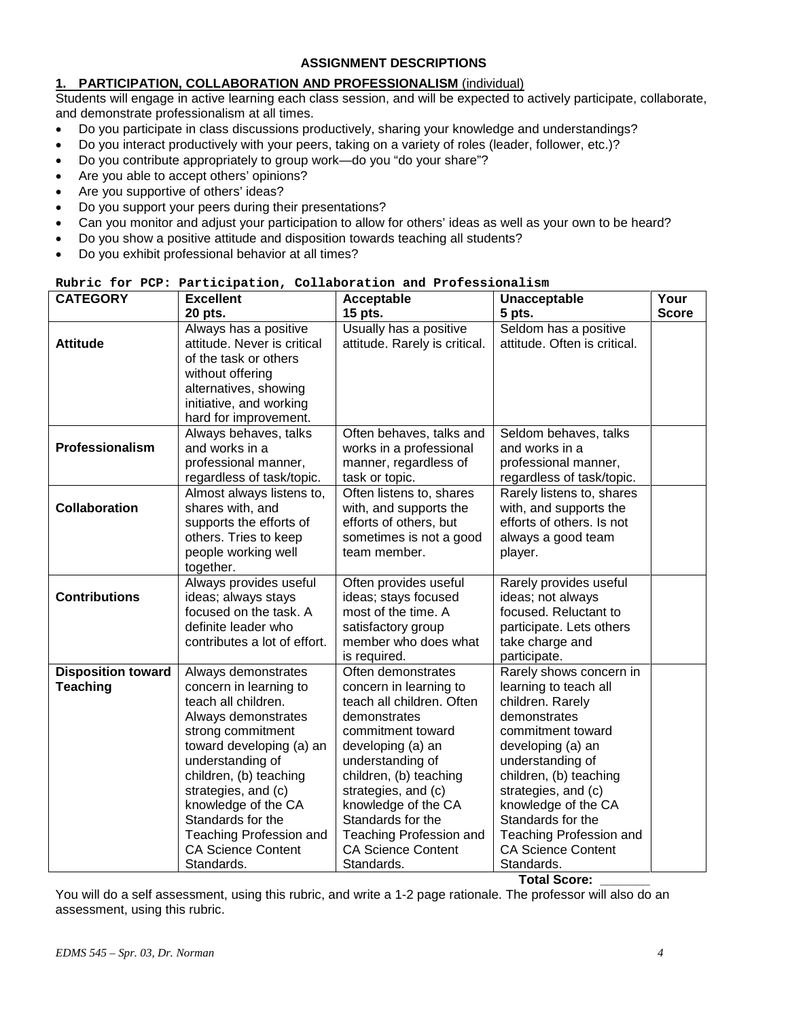# **ASSIGNMENT DESCRIPTIONS**

## **1. PARTICIPATION, COLLABORATION AND PROFESSIONALISM** (individual)

Students will engage in active learning each class session, and will be expected to actively participate, collaborate, and demonstrate professionalism at all times.

- Do you participate in class discussions productively, sharing your knowledge and understandings?
- Do you interact productively with your peers, taking on a variety of roles (leader, follower, etc.)?
- Do you contribute appropriately to group work—do you "do your share"?
- Are you able to accept others' opinions?
- Are you supportive of others' ideas?
- Do you support your peers during their presentations?
- Can you monitor and adjust your participation to allow for others' ideas as well as your own to be heard?
- Do you show a positive attitude and disposition towards teaching all students?
- Do you exhibit professional behavior at all times?

#### **Rubric for PCP: Participation, Collaboration and Professionalism**

| <b>CATEGORY</b>           | <b>Excellent</b>                                                              | Acceptable                                              | Unacceptable                                          | Your         |
|---------------------------|-------------------------------------------------------------------------------|---------------------------------------------------------|-------------------------------------------------------|--------------|
|                           | 20 pts.                                                                       | 15 pts.                                                 | 5 pts.                                                | <b>Score</b> |
| <b>Attitude</b>           | Always has a positive<br>attitude. Never is critical<br>of the task or others | Usually has a positive<br>attitude. Rarely is critical. | Seldom has a positive<br>attitude. Often is critical. |              |
|                           | without offering                                                              |                                                         |                                                       |              |
|                           | alternatives, showing                                                         |                                                         |                                                       |              |
|                           | initiative, and working                                                       |                                                         |                                                       |              |
|                           | hard for improvement.                                                         |                                                         |                                                       |              |
|                           | Always behaves, talks                                                         | Often behaves, talks and                                | Seldom behaves, talks                                 |              |
| Professionalism           | and works in a                                                                | works in a professional                                 | and works in a                                        |              |
|                           | professional manner,                                                          | manner, regardless of                                   | professional manner,                                  |              |
|                           | regardless of task/topic.                                                     | task or topic.                                          | regardless of task/topic.                             |              |
|                           | Almost always listens to,                                                     | Often listens to, shares                                | Rarely listens to, shares                             |              |
| Collaboration             | shares with, and                                                              | with, and supports the                                  | with, and supports the                                |              |
|                           | supports the efforts of                                                       | efforts of others, but                                  | efforts of others. Is not                             |              |
|                           | others. Tries to keep                                                         | sometimes is not a good                                 | always a good team                                    |              |
|                           | people working well                                                           | team member.                                            | player.                                               |              |
|                           | together.                                                                     |                                                         |                                                       |              |
| <b>Contributions</b>      | Always provides useful<br>ideas; always stays                                 | Often provides useful<br>ideas; stays focused           | Rarely provides useful<br>ideas; not always           |              |
|                           | focused on the task. A                                                        | most of the time. A                                     | focused. Reluctant to                                 |              |
|                           | definite leader who                                                           | satisfactory group                                      | participate. Lets others                              |              |
|                           | contributes a lot of effort.                                                  | member who does what                                    | take charge and                                       |              |
|                           |                                                                               | is required.                                            | participate.                                          |              |
| <b>Disposition toward</b> | Always demonstrates                                                           | Often demonstrates                                      | Rarely shows concern in                               |              |
| <b>Teaching</b>           | concern in learning to                                                        | concern in learning to                                  | learning to teach all                                 |              |
|                           | teach all children.                                                           | teach all children. Often                               | children. Rarely                                      |              |
|                           | Always demonstrates                                                           | demonstrates                                            | demonstrates                                          |              |
|                           | strong commitment                                                             | commitment toward                                       | commitment toward                                     |              |
|                           | toward developing (a) an                                                      | developing (a) an                                       | developing (a) an                                     |              |
|                           | understanding of                                                              | understanding of                                        | understanding of                                      |              |
|                           | children, (b) teaching                                                        | children, (b) teaching                                  | children, (b) teaching                                |              |
|                           | strategies, and (c)                                                           | strategies, and (c)                                     | strategies, and (c)                                   |              |
|                           | knowledge of the CA                                                           | knowledge of the CA                                     | knowledge of the CA                                   |              |
|                           | Standards for the                                                             | Standards for the                                       | Standards for the                                     |              |
|                           | <b>Teaching Profession and</b>                                                | <b>Teaching Profession and</b>                          | Teaching Profession and                               |              |
|                           | <b>CA Science Content</b><br>Standards.                                       | <b>CA Science Content</b><br>Standards.                 | <b>CA Science Content</b><br>Standards.               |              |
|                           |                                                                               |                                                         | <b>Total Score:</b>                                   |              |

You will do a self assessment, using this rubric, and write a 1-2 page rationale. The professor will also do an assessment, using this rubric.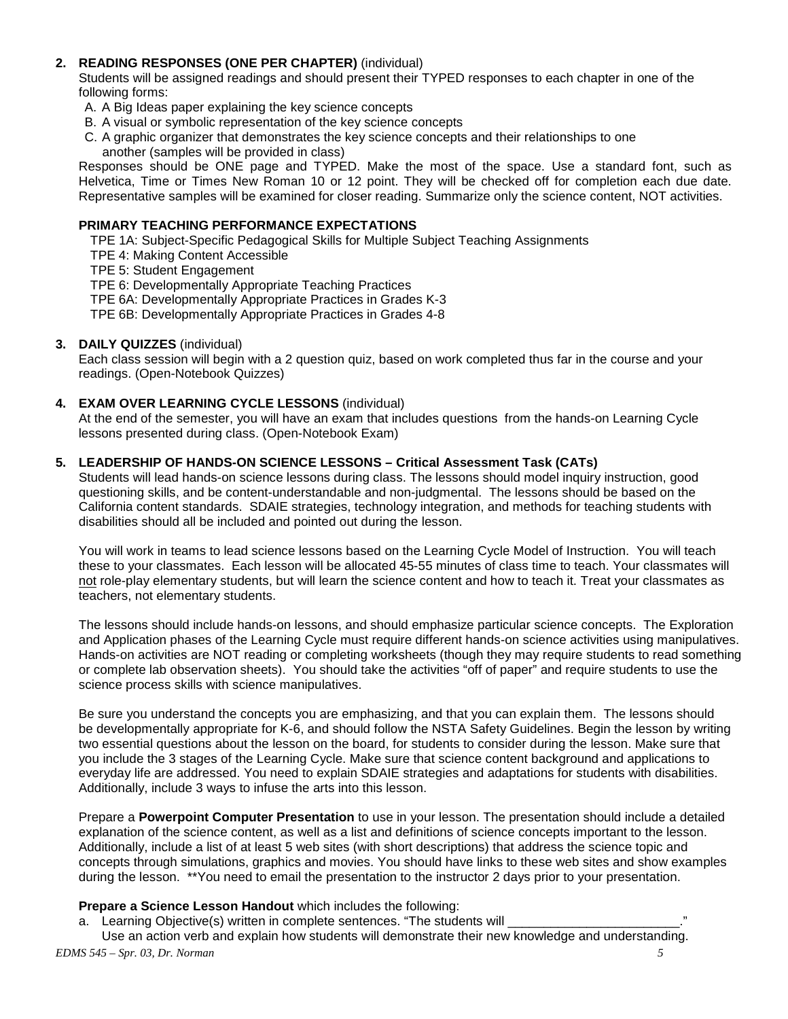## **2. READING RESPONSES (ONE PER CHAPTER)** (individual)

Students will be assigned readings and should present their TYPED responses to each chapter in one of the following forms:

- A. A Big Ideas paper explaining the key science concepts
- B. A visual or symbolic representation of the key science concepts
- C. A graphic organizer that demonstrates the key science concepts and their relationships to one another (samples will be provided in class)

Responses should be ONE page and TYPED. Make the most of the space. Use a standard font, such as Helvetica, Time or Times New Roman 10 or 12 point. They will be checked off for completion each due date. Representative samples will be examined for closer reading. Summarize only the science content, NOT activities.

## **PRIMARY TEACHING PERFORMANCE EXPECTATIONS**

TPE 1A: Subject-Specific Pedagogical Skills for Multiple Subject Teaching Assignments

TPE 4: Making Content Accessible

TPE 5: Student Engagement

TPE 6: Developmentally Appropriate Teaching Practices

TPE 6A: Developmentally Appropriate Practices in Grades K-3

TPE 6B: Developmentally Appropriate Practices in Grades 4-8

## **3. DAILY QUIZZES** (individual)

Each class session will begin with a 2 question quiz, based on work completed thus far in the course and your readings. (Open-Notebook Quizzes)

## **4. EXAM OVER LEARNING CYCLE LESSONS** (individual)

At the end of the semester, you will have an exam that includes questions from the hands-on Learning Cycle lessons presented during class. (Open-Notebook Exam)

## **5. LEADERSHIP OF HANDS-ON SCIENCE LESSONS – Critical Assessment Task (CATs)**

Students will lead hands-on science lessons during class. The lessons should model inquiry instruction, good questioning skills, and be content-understandable and non-judgmental. The lessons should be based on the California content standards. SDAIE strategies, technology integration, and methods for teaching students with disabilities should all be included and pointed out during the lesson.

You will work in teams to lead science lessons based on the Learning Cycle Model of Instruction. You will teach these to your classmates. Each lesson will be allocated 45-55 minutes of class time to teach. Your classmates will not role-play elementary students, but will learn the science content and how to teach it. Treat your classmates as teachers, not elementary students.

The lessons should include hands-on lessons, and should emphasize particular science concepts. The Exploration and Application phases of the Learning Cycle must require different hands-on science activities using manipulatives. Hands-on activities are NOT reading or completing worksheets (though they may require students to read something or complete lab observation sheets). You should take the activities "off of paper" and require students to use the science process skills with science manipulatives.

Be sure you understand the concepts you are emphasizing, and that you can explain them. The lessons should be developmentally appropriate for K-6, and should follow the NSTA Safety Guidelines. Begin the lesson by writing two essential questions about the lesson on the board, for students to consider during the lesson. Make sure that you include the 3 stages of the Learning Cycle. Make sure that science content background and applications to everyday life are addressed. You need to explain SDAIE strategies and adaptations for students with disabilities. Additionally, include 3 ways to infuse the arts into this lesson.

Prepare a **Powerpoint Computer Presentation** to use in your lesson. The presentation should include a detailed explanation of the science content, as well as a list and definitions of science concepts important to the lesson. Additionally, include a list of at least 5 web sites (with short descriptions) that address the science topic and concepts through simulations, graphics and movies. You should have links to these web sites and show examples during the lesson. \*\*You need to email the presentation to the instructor 2 days prior to your presentation.

## **Prepare a Science Lesson Handout** which includes the following:

a. Learning Objective(s) written in complete sentences. "The students will

*EDMS 545 – Spr. 03, Dr. Norman 5* Use an action verb and explain how students will demonstrate their new knowledge and understanding.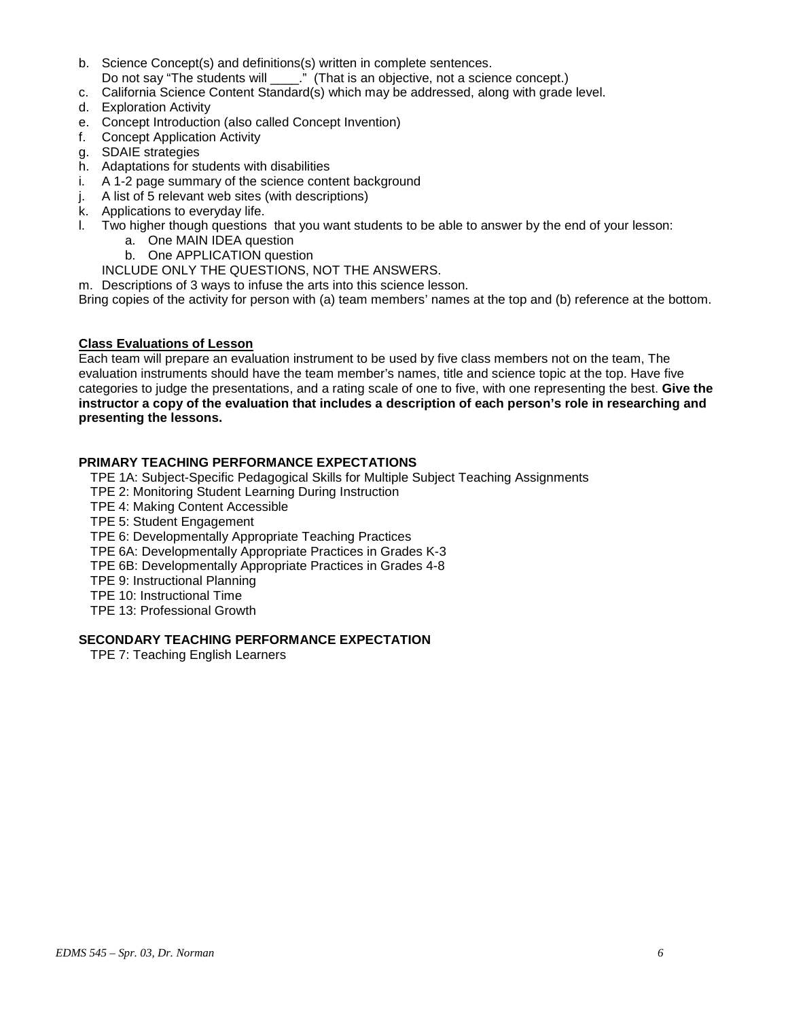- b. Science Concept(s) and definitions(s) written in complete sentences. Do not say "The students will  $\cdot$ ." (That is an objective, not a science concept.)
- c. California Science Content Standard(s) which may be addressed, along with grade level.
- d. Exploration Activity
- e. Concept Introduction (also called Concept Invention)
- f. Concept Application Activity
- g. SDAIE strategies
- h. Adaptations for students with disabilities
- i. A 1-2 page summary of the science content background
- j. A list of 5 relevant web sites (with descriptions)
- k. Applications to everyday life.
- l. Two higher though questions that you want students to be able to answer by the end of your lesson:
	- a. One MAIN IDEA question
	- b. One APPLICATION question
	- INCLUDE ONLY THE QUESTIONS, NOT THE ANSWERS.

m. Descriptions of 3 ways to infuse the arts into this science lesson.

Bring copies of the activity for person with (a) team members' names at the top and (b) reference at the bottom.

# **Class Evaluations of Lesson**

Each team will prepare an evaluation instrument to be used by five class members not on the team, The evaluation instruments should have the team member's names, title and science topic at the top. Have five categories to judge the presentations, and a rating scale of one to five, with one representing the best. **Give the instructor a copy of the evaluation that includes a description of each person's role in researching and presenting the lessons.** 

# **PRIMARY TEACHING PERFORMANCE EXPECTATIONS**

TPE 1A: Subject-Specific Pedagogical Skills for Multiple Subject Teaching Assignments

- TPE 2: Monitoring Student Learning During Instruction
- TPE 4: Making Content Accessible
- TPE 5: Student Engagement
- TPE 6: Developmentally Appropriate Teaching Practices
- TPE 6A: Developmentally Appropriate Practices in Grades K-3
- TPE 6B: Developmentally Appropriate Practices in Grades 4-8
- TPE 9: Instructional Planning
- TPE 10: Instructional Time
- TPE 13: Professional Growth

# **SECONDARY TEACHING PERFORMANCE EXPECTATION**

TPE 7: Teaching English Learners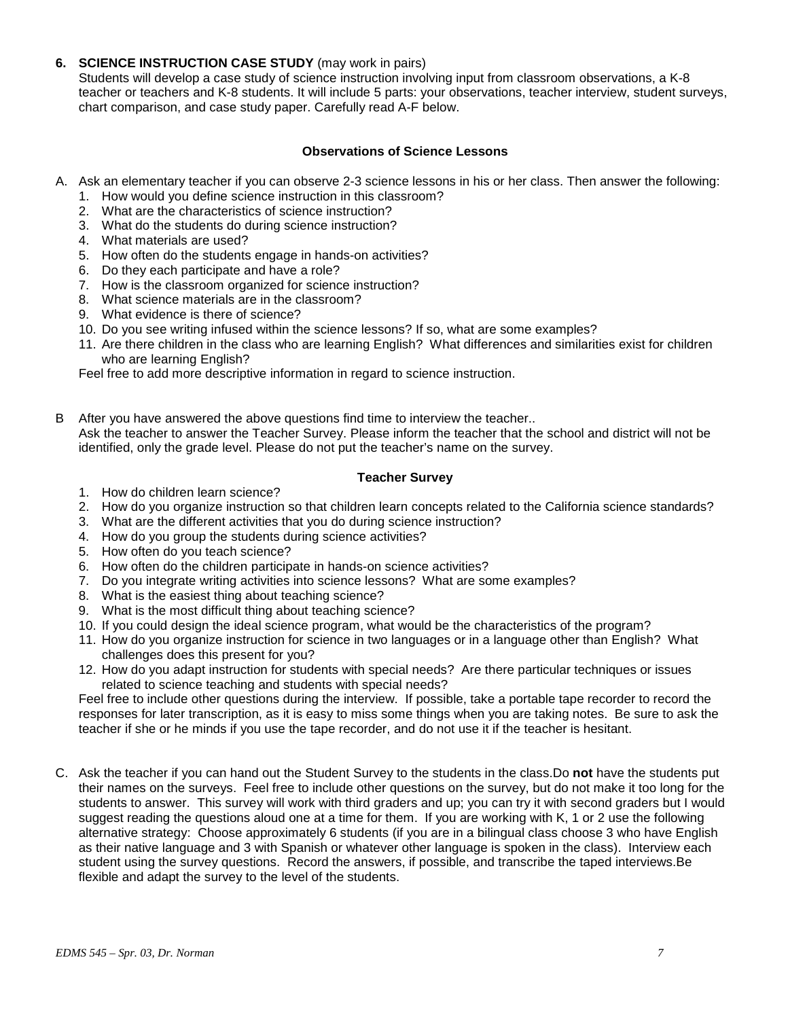## **6. SCIENCE INSTRUCTION CASE STUDY** (may work in pairs)

Students will develop a case study of science instruction involving input from classroom observations, a K-8 teacher or teachers and K-8 students. It will include 5 parts: your observations, teacher interview, student surveys, chart comparison, and case study paper. Carefully read A-F below.

## **Observations of Science Lessons**

- A. Ask an elementary teacher if you can observe 2-3 science lessons in his or her class. Then answer the following:
	- 1. How would you define science instruction in this classroom?
	- 2. What are the characteristics of science instruction?
	- 3. What do the students do during science instruction?
	- 4. What materials are used?
	- 5. How often do the students engage in hands-on activities?
	- 6. Do they each participate and have a role?
	- 7. How is the classroom organized for science instruction?
	- 8. What science materials are in the classroom?
	- 9. What evidence is there of science?
	- 10. Do you see writing infused within the science lessons? If so, what are some examples?
	- 11. Are there children in the class who are learning English? What differences and similarities exist for children who are learning English?

Feel free to add more descriptive information in regard to science instruction.

B After you have answered the above questions find time to interview the teacher.. Ask the teacher to answer the Teacher Survey. Please inform the teacher that the school and district will not be identified, only the grade level. Please do not put the teacher's name on the survey.

#### **Teacher Survey**

- 1. How do children learn science?
- 2. How do you organize instruction so that children learn concepts related to the California science standards?
- 3. What are the different activities that you do during science instruction?
- 4. How do you group the students during science activities?
- 5. How often do you teach science?
- 6. How often do the children participate in hands-on science activities?
- 7. Do you integrate writing activities into science lessons? What are some examples?
- 8. What is the easiest thing about teaching science?
- 9. What is the most difficult thing about teaching science?
- 10. If you could design the ideal science program, what would be the characteristics of the program?
- 11. How do you organize instruction for science in two languages or in a language other than English? What challenges does this present for you?
- 12. How do you adapt instruction for students with special needs? Are there particular techniques or issues related to science teaching and students with special needs?

Feel free to include other questions during the interview. If possible, take a portable tape recorder to record the responses for later transcription, as it is easy to miss some things when you are taking notes. Be sure to ask the teacher if she or he minds if you use the tape recorder, and do not use it if the teacher is hesitant.

C. Ask the teacher if you can hand out the Student Survey to the students in the class.Do **not** have the students put their names on the surveys. Feel free to include other questions on the survey, but do not make it too long for the students to answer. This survey will work with third graders and up; you can try it with second graders but I would suggest reading the questions aloud one at a time for them. If you are working with K, 1 or 2 use the following alternative strategy: Choose approximately 6 students (if you are in a bilingual class choose 3 who have English as their native language and 3 with Spanish or whatever other language is spoken in the class). Interview each student using the survey questions. Record the answers, if possible, and transcribe the taped interviews.Be flexible and adapt the survey to the level of the students.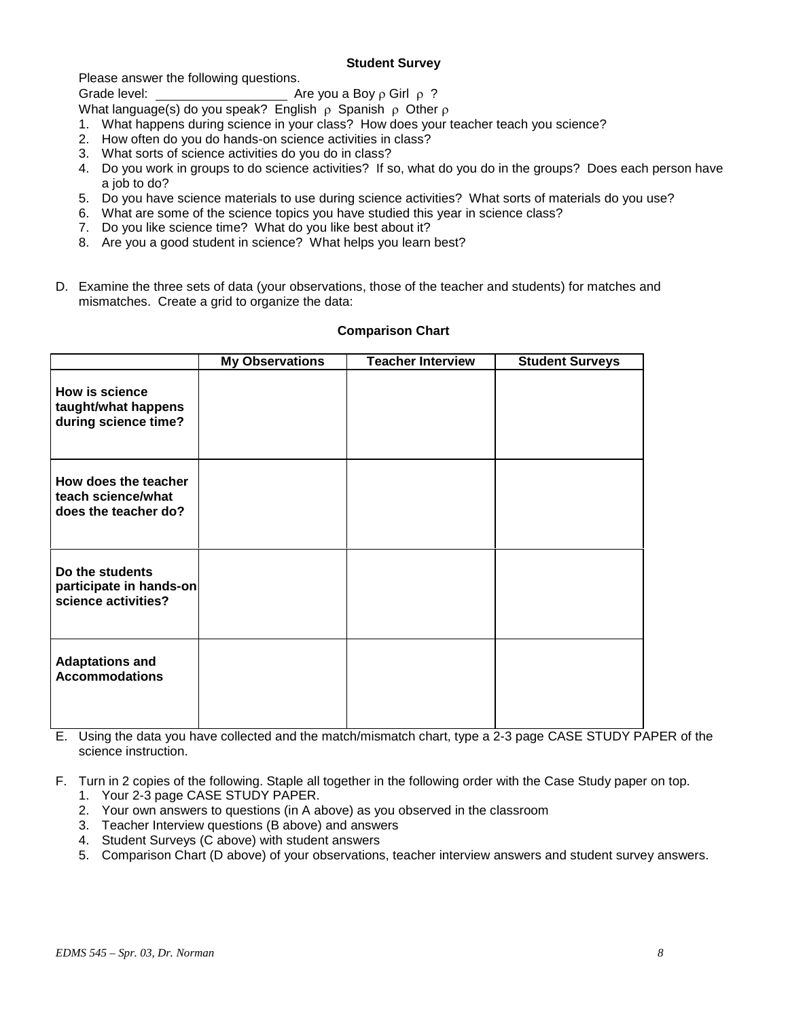## **Student Survey**

Please answer the following questions.

Grade level: Are you a Boy ρ Girl ρ ?

What language(s) do you speak? English  $\rho$  Spanish  $\rho$  Other  $\rho$ 

- 1. What happens during science in your class? How does your teacher teach you science?
- 2. How often do you do hands-on science activities in class?
- 3. What sorts of science activities do you do in class?
- 4. Do you work in groups to do science activities? If so, what do you do in the groups? Does each person have a job to do?
- 5. Do you have science materials to use during science activities? What sorts of materials do you use?
- 6. What are some of the science topics you have studied this year in science class?
- 7. Do you like science time? What do you like best about it?
- 8. Are you a good student in science? What helps you learn best?
- D. Examine the three sets of data (your observations, those of the teacher and students) for matches and mismatches. Create a grid to organize the data:

|                                                                      | <b>My Observations</b> | <b>Teacher Interview</b> | <b>Student Surveys</b> |
|----------------------------------------------------------------------|------------------------|--------------------------|------------------------|
| <b>How is science</b><br>taught/what happens<br>during science time? |                        |                          |                        |
| How does the teacher<br>teach science/what<br>does the teacher do?   |                        |                          |                        |
| Do the students<br>participate in hands-on<br>science activities?    |                        |                          |                        |
| <b>Adaptations and</b><br><b>Accommodations</b>                      |                        |                          |                        |

#### **Comparison Chart**

E. Using the data you have collected and the match/mismatch chart, type a 2-3 page CASE STUDY PAPER of the science instruction.

F. Turn in 2 copies of the following. Staple all together in the following order with the Case Study paper on top.

- 1. Your 2-3 page CASE STUDY PAPER.
- 2. Your own answers to questions (in A above) as you observed in the classroom
- 3. Teacher Interview questions (B above) and answers
- 4. Student Surveys (C above) with student answers
- 5. Comparison Chart (D above) of your observations, teacher interview answers and student survey answers.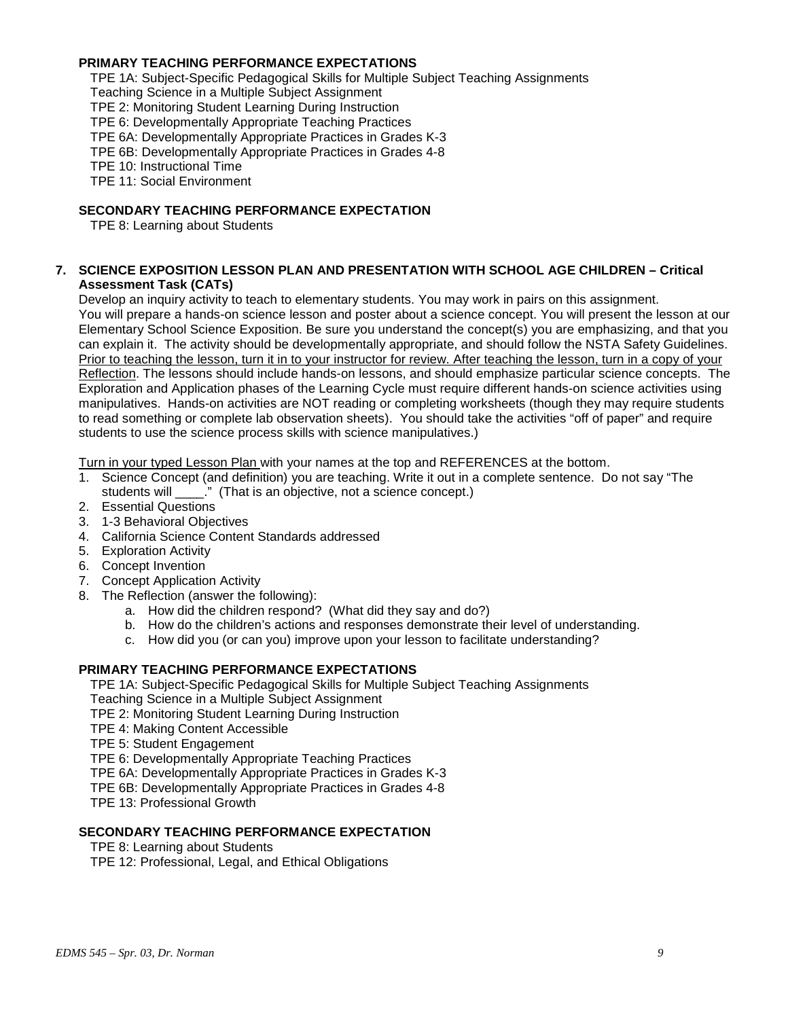## **PRIMARY TEACHING PERFORMANCE EXPECTATIONS**

TPE 1A: Subject-Specific Pedagogical Skills for Multiple Subject Teaching Assignments

Teaching Science in a Multiple Subject Assignment

TPE 2: Monitoring Student Learning During Instruction

TPE 6: Developmentally Appropriate Teaching Practices

TPE 6A: Developmentally Appropriate Practices in Grades K-3

TPE 6B: Developmentally Appropriate Practices in Grades 4-8

TPE 10: Instructional Time

TPE 11: Social Environment

## **SECONDARY TEACHING PERFORMANCE EXPECTATION**

TPE 8: Learning about Students

#### **7. SCIENCE EXPOSITION LESSON PLAN AND PRESENTATION WITH SCHOOL AGE CHILDREN – Critical Assessment Task (CATs)**

Develop an inquiry activity to teach to elementary students. You may work in pairs on this assignment. You will prepare a hands-on science lesson and poster about a science concept. You will present the lesson at our Elementary School Science Exposition. Be sure you understand the concept(s) you are emphasizing, and that you can explain it. The activity should be developmentally appropriate, and should follow the NSTA Safety Guidelines. Prior to teaching the lesson, turn it in to your instructor for review. After teaching the lesson, turn in a copy of your Reflection. The lessons should include hands-on lessons, and should emphasize particular science concepts. The Exploration and Application phases of the Learning Cycle must require different hands-on science activities using manipulatives. Hands-on activities are NOT reading or completing worksheets (though they may require students to read something or complete lab observation sheets). You should take the activities "off of paper" and require students to use the science process skills with science manipulatives.)

Turn in your typed Lesson Plan with your names at the top and REFERENCES at the bottom.

- 1. Science Concept (and definition) you are teaching. Write it out in a complete sentence. Do not say "The students will \_\_\_\_." (That is an objective, not a science concept.)
- 2. Essential Questions
- 3. 1-3 Behavioral Objectives
- 4. California Science Content Standards addressed
- 5. Exploration Activity
- 6. Concept Invention
- 7. Concept Application Activity
- 8. The Reflection (answer the following):
	- a. How did the children respond? (What did they say and do?)
	- b. How do the children's actions and responses demonstrate their level of understanding.
	- c. How did you (or can you) improve upon your lesson to facilitate understanding?

## **PRIMARY TEACHING PERFORMANCE EXPECTATIONS**

TPE 1A: Subject-Specific Pedagogical Skills for Multiple Subject Teaching Assignments Teaching Science in a Multiple Subject Assignment

TPE 2: Monitoring Student Learning During Instruction

- TPE 4: Making Content Accessible
- TPE 5: Student Engagement
- TPE 6: Developmentally Appropriate Teaching Practices

TPE 6A: Developmentally Appropriate Practices in Grades K-3

TPE 6B: Developmentally Appropriate Practices in Grades 4-8

TPE 13: Professional Growth

#### **SECONDARY TEACHING PERFORMANCE EXPECTATION**

TPE 8: Learning about Students

TPE 12: Professional, Legal, and Ethical Obligations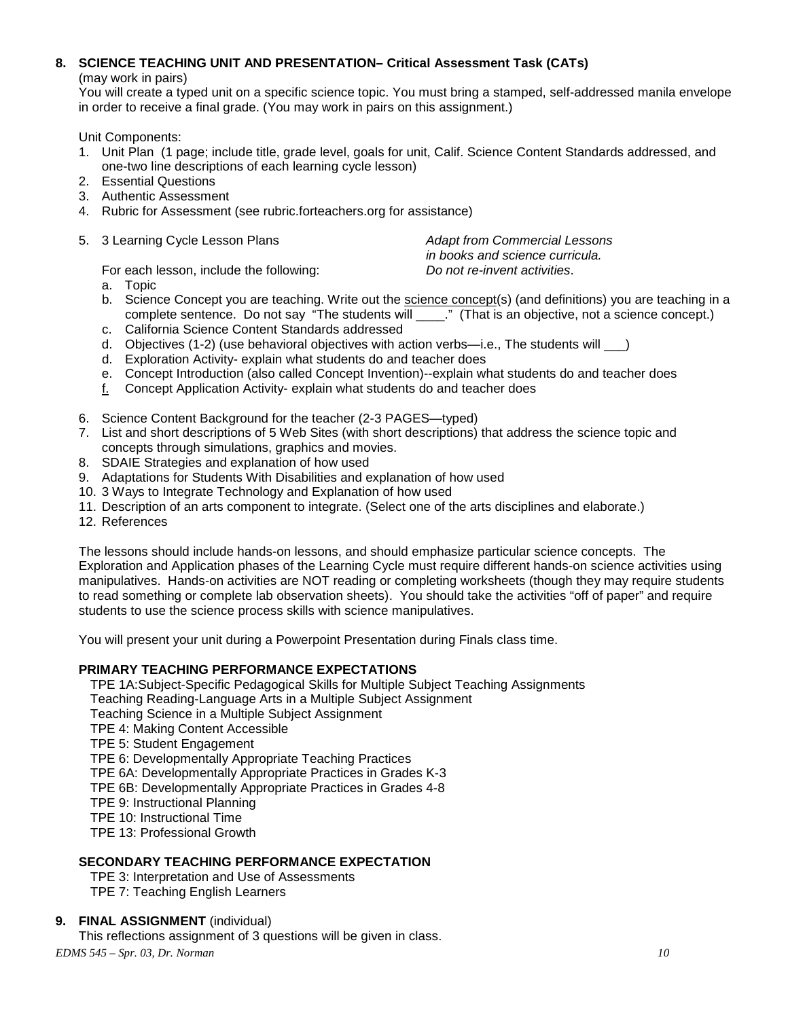# **8. SCIENCE TEACHING UNIT AND PRESENTATION– Critical Assessment Task (CATs)**

(may work in pairs)

You will create a typed unit on a specific science topic. You must bring a stamped, self-addressed manila envelope in order to receive a final grade. (You may work in pairs on this assignment.)

Unit Components:

- 1. Unit Plan (1 page; include title, grade level, goals for unit, Calif. Science Content Standards addressed, and one-two line descriptions of each learning cycle lesson)
- 2. Essential Questions
- 3. Authentic Assessment
- 4. Rubric for Assessment (see rubric.forteachers.org for assistance)
- 5. 3 Learning Cycle Lesson Plans *Adapt from Commercial Lessons*

*in books and science curricula.*

For each lesson, include the following: *Do not re-invent activities*.

- a. Topic
- b. Science Concept you are teaching. Write out the science concept(s) (and definitions) you are teaching in a complete sentence. Do not say "The students will \_\_\_\_." (That is an objective, not a science concept.)
- c. California Science Content Standards addressed
- d. Objectives (1-2) (use behavioral objectives with action verbs-i.e., The students will \_\_\_)
- d. Exploration Activity- explain what students do and teacher does
- e. Concept Introduction (also called Concept Invention)--explain what students do and teacher does
- f. Concept Application Activity- explain what students do and teacher does
- 6. Science Content Background for the teacher (2-3 PAGES—typed)
- 7. List and short descriptions of 5 Web Sites (with short descriptions) that address the science topic and concepts through simulations, graphics and movies.
- 8. SDAIE Strategies and explanation of how used
- 9. Adaptations for Students With Disabilities and explanation of how used
- 10. 3 Ways to Integrate Technology and Explanation of how used
- 11. Description of an arts component to integrate. (Select one of the arts disciplines and elaborate.)
- 12. References

The lessons should include hands-on lessons, and should emphasize particular science concepts. The Exploration and Application phases of the Learning Cycle must require different hands-on science activities using manipulatives. Hands-on activities are NOT reading or completing worksheets (though they may require students to read something or complete lab observation sheets). You should take the activities "off of paper" and require students to use the science process skills with science manipulatives.

You will present your unit during a Powerpoint Presentation during Finals class time.

# **PRIMARY TEACHING PERFORMANCE EXPECTATIONS**

TPE 1A:Subject-Specific Pedagogical Skills for Multiple Subject Teaching Assignments

Teaching Reading-Language Arts in a Multiple Subject Assignment

- Teaching Science in a Multiple Subject Assignment
- TPE 4: Making Content Accessible
- TPE 5: Student Engagement
- TPE 6: Developmentally Appropriate Teaching Practices
- TPE 6A: Developmentally Appropriate Practices in Grades K-3
- TPE 6B: Developmentally Appropriate Practices in Grades 4-8
- TPE 9: Instructional Planning
- TPE 10: Instructional Time
- TPE 13: Professional Growth

# **SECONDARY TEACHING PERFORMANCE EXPECTATION**

TPE 3: Interpretation and Use of Assessments TPE 7: Teaching English Learners

## **9. FINAL ASSIGNMENT** (individual)

This reflections assignment of 3 questions will be given in class.

*EDMS 545 – Spr. 03, Dr. Norman 10*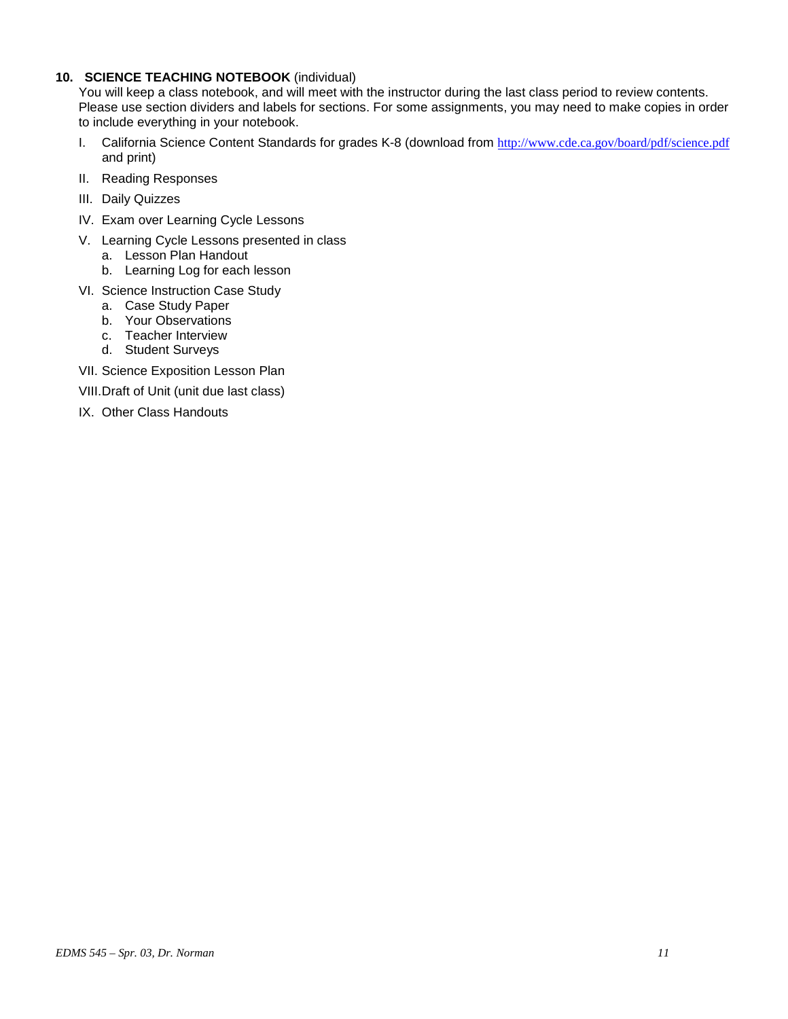## **10. SCIENCE TEACHING NOTEBOOK** (individual)

You will keep a class notebook, and will meet with the instructor during the last class period to review contents. Please use section dividers and labels for sections. For some assignments, you may need to make copies in order to include everything in your notebook.

- I. California Science Content Standards for grades K-8 (download from <http://www.cde.ca.gov/board/pdf/science.pdf> and print)
- II. Reading Responses
- III. Daily Quizzes
- IV. Exam over Learning Cycle Lessons
- V. Learning Cycle Lessons presented in class
	- a. Lesson Plan Handout
	- b. Learning Log for each lesson
- VI. Science Instruction Case Study
	- a. Case Study Paper
	- b. Your Observations
	- c. Teacher Interview
	- d. Student Surveys
- VII. Science Exposition Lesson Plan
- VIII.Draft of Unit (unit due last class)
- IX. Other Class Handouts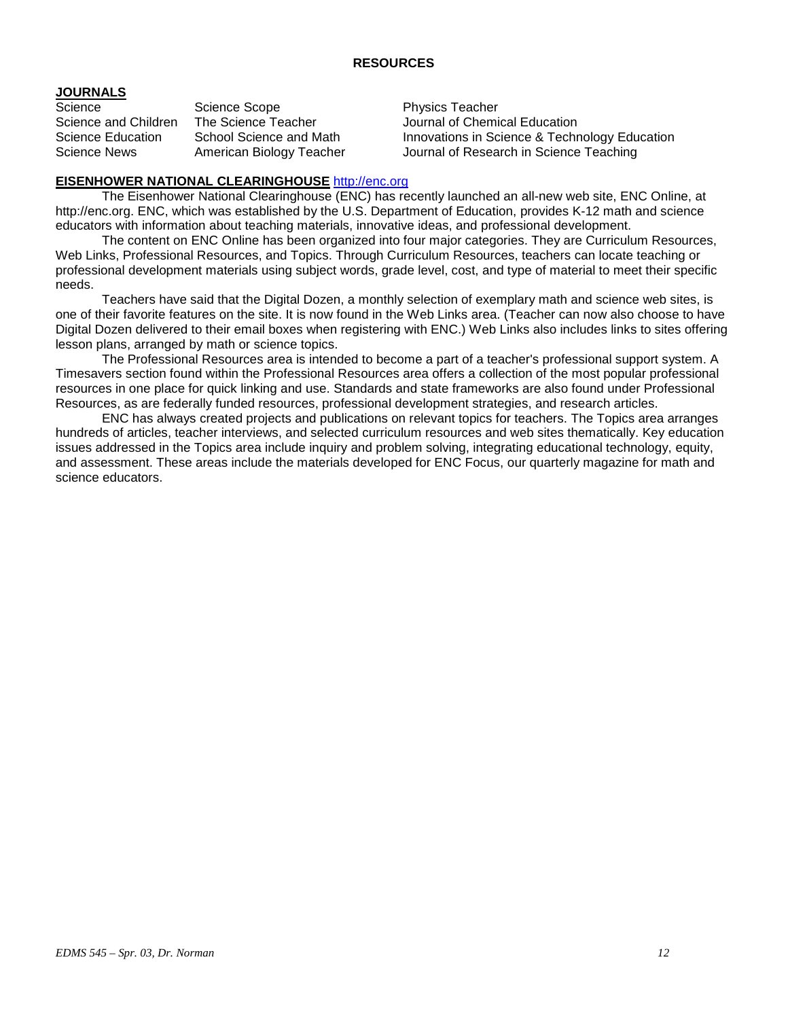## **RESOURCES**

# **JOURNALS**

Science Scope Science Scope<br>
Science and Children The Science Teacher Science Mournal of Chemi

Journal of Chemical Education Science Education School Science and Math Innovations in Science & Technology Education Science News American Biology Teacher Journal of Research in Science Teaching

## **EISENHOWER NATIONAL CLEARINGHOUSE** [http://enc.org](http://enc.org/)

The Eisenhower National Clearinghouse (ENC) has recently launched an all-new web site, ENC Online, at http://enc.org. ENC, which was established by the U.S. Department of Education, provides K-12 math and science educators with information about teaching materials, innovative ideas, and professional development.

The content on ENC Online has been organized into four major categories. They are Curriculum Resources, Web Links, Professional Resources, and Topics. Through Curriculum Resources, teachers can locate teaching or professional development materials using subject words, grade level, cost, and type of material to meet their specific needs.

Teachers have said that the Digital Dozen, a monthly selection of exemplary math and science web sites, is one of their favorite features on the site. It is now found in the Web Links area. (Teacher can now also choose to have Digital Dozen delivered to their email boxes when registering with ENC.) Web Links also includes links to sites offering lesson plans, arranged by math or science topics.

The Professional Resources area is intended to become a part of a teacher's professional support system. A Timesavers section found within the Professional Resources area offers a collection of the most popular professional resources in one place for quick linking and use. Standards and state frameworks are also found under Professional Resources, as are federally funded resources, professional development strategies, and research articles.

ENC has always created projects and publications on relevant topics for teachers. The Topics area arranges hundreds of articles, teacher interviews, and selected curriculum resources and web sites thematically. Key education issues addressed in the Topics area include inquiry and problem solving, integrating educational technology, equity, and assessment. These areas include the materials developed for ENC Focus, our quarterly magazine for math and science educators.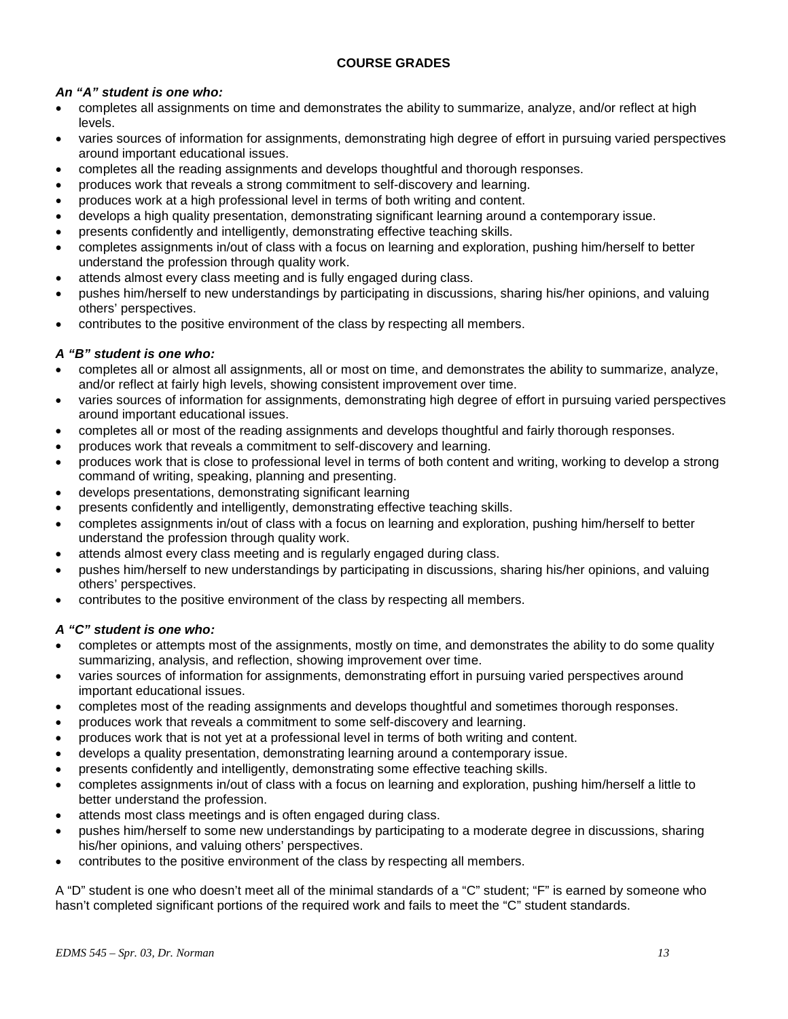# **COURSE GRADES**

# *An "A" student is one who:*

- completes all assignments on time and demonstrates the ability to summarize, analyze, and/or reflect at high levels.
- varies sources of information for assignments, demonstrating high degree of effort in pursuing varied perspectives around important educational issues.
- completes all the reading assignments and develops thoughtful and thorough responses.
- produces work that reveals a strong commitment to self-discovery and learning.
- produces work at a high professional level in terms of both writing and content.
- develops a high quality presentation, demonstrating significant learning around a contemporary issue.
- presents confidently and intelligently, demonstrating effective teaching skills.
- completes assignments in/out of class with a focus on learning and exploration, pushing him/herself to better understand the profession through quality work.
- attends almost every class meeting and is fully engaged during class.
- pushes him/herself to new understandings by participating in discussions, sharing his/her opinions, and valuing others' perspectives.
- contributes to the positive environment of the class by respecting all members.

# *A "B" student is one who:*

- completes all or almost all assignments, all or most on time, and demonstrates the ability to summarize, analyze, and/or reflect at fairly high levels, showing consistent improvement over time.
- varies sources of information for assignments, demonstrating high degree of effort in pursuing varied perspectives around important educational issues.
- completes all or most of the reading assignments and develops thoughtful and fairly thorough responses.
- produces work that reveals a commitment to self-discovery and learning.
- produces work that is close to professional level in terms of both content and writing, working to develop a strong command of writing, speaking, planning and presenting.
- develops presentations, demonstrating significant learning
- presents confidently and intelligently, demonstrating effective teaching skills.
- completes assignments in/out of class with a focus on learning and exploration, pushing him/herself to better understand the profession through quality work.
- attends almost every class meeting and is regularly engaged during class.
- pushes him/herself to new understandings by participating in discussions, sharing his/her opinions, and valuing others' perspectives.
- contributes to the positive environment of the class by respecting all members.

## *A "C" student is one who:*

- completes or attempts most of the assignments, mostly on time, and demonstrates the ability to do some quality summarizing, analysis, and reflection, showing improvement over time.
- varies sources of information for assignments, demonstrating effort in pursuing varied perspectives around important educational issues.
- completes most of the reading assignments and develops thoughtful and sometimes thorough responses.
- produces work that reveals a commitment to some self-discovery and learning.
- produces work that is not yet at a professional level in terms of both writing and content.
- develops a quality presentation, demonstrating learning around a contemporary issue.
- presents confidently and intelligently, demonstrating some effective teaching skills.
- completes assignments in/out of class with a focus on learning and exploration, pushing him/herself a little to better understand the profession.
- attends most class meetings and is often engaged during class.
- pushes him/herself to some new understandings by participating to a moderate degree in discussions, sharing his/her opinions, and valuing others' perspectives.
- contributes to the positive environment of the class by respecting all members.

A "D" student is one who doesn't meet all of the minimal standards of a "C" student; "F" is earned by someone who hasn't completed significant portions of the required work and fails to meet the "C" student standards.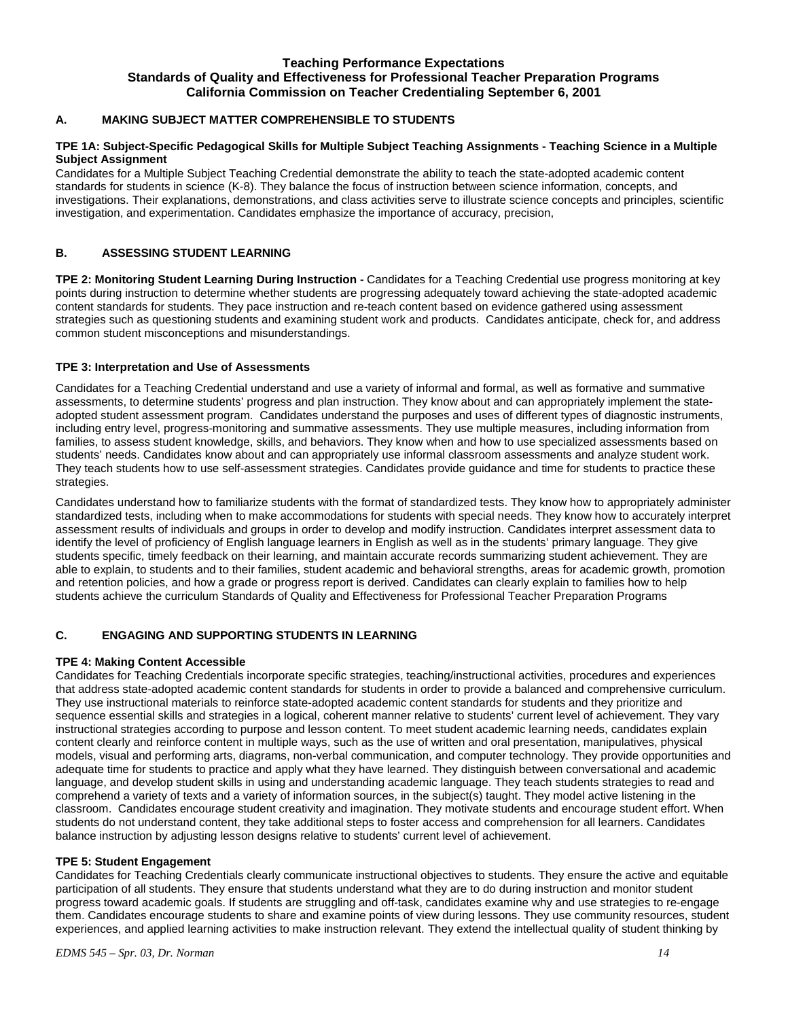#### **Teaching Performance Expectations Standards of Quality and Effectiveness for Professional Teacher Preparation Programs California Commission on Teacher Credentialing September 6, 2001**

## **A. MAKING SUBJECT MATTER COMPREHENSIBLE TO STUDENTS**

#### **TPE 1A: Subject-Specific Pedagogical Skills for Multiple Subject Teaching Assignments - Teaching Science in a Multiple Subject Assignment**

Candidates for a Multiple Subject Teaching Credential demonstrate the ability to teach the state-adopted academic content standards for students in science (K-8). They balance the focus of instruction between science information, concepts, and investigations. Their explanations, demonstrations, and class activities serve to illustrate science concepts and principles, scientific investigation, and experimentation. Candidates emphasize the importance of accuracy, precision,

#### **B. ASSESSING STUDENT LEARNING**

**TPE 2: Monitoring Student Learning During Instruction -** Candidates for a Teaching Credential use progress monitoring at key points during instruction to determine whether students are progressing adequately toward achieving the state-adopted academic content standards for students. They pace instruction and re-teach content based on evidence gathered using assessment strategies such as questioning students and examining student work and products. Candidates anticipate, check for, and address common student misconceptions and misunderstandings.

#### **TPE 3: Interpretation and Use of Assessments**

Candidates for a Teaching Credential understand and use a variety of informal and formal, as well as formative and summative assessments, to determine students' progress and plan instruction. They know about and can appropriately implement the stateadopted student assessment program. Candidates understand the purposes and uses of different types of diagnostic instruments, including entry level, progress-monitoring and summative assessments. They use multiple measures, including information from families, to assess student knowledge, skills, and behaviors. They know when and how to use specialized assessments based on students' needs. Candidates know about and can appropriately use informal classroom assessments and analyze student work. They teach students how to use self-assessment strategies. Candidates provide guidance and time for students to practice these strategies.

Candidates understand how to familiarize students with the format of standardized tests. They know how to appropriately administer standardized tests, including when to make accommodations for students with special needs. They know how to accurately interpret assessment results of individuals and groups in order to develop and modify instruction. Candidates interpret assessment data to identify the level of proficiency of English language learners in English as well as in the students' primary language. They give students specific, timely feedback on their learning, and maintain accurate records summarizing student achievement. They are able to explain, to students and to their families, student academic and behavioral strengths, areas for academic growth, promotion and retention policies, and how a grade or progress report is derived. Candidates can clearly explain to families how to help students achieve the curriculum Standards of Quality and Effectiveness for Professional Teacher Preparation Programs

#### **C. ENGAGING AND SUPPORTING STUDENTS IN LEARNING**

#### **TPE 4: Making Content Accessible**

Candidates for Teaching Credentials incorporate specific strategies, teaching/instructional activities, procedures and experiences that address state-adopted academic content standards for students in order to provide a balanced and comprehensive curriculum. They use instructional materials to reinforce state-adopted academic content standards for students and they prioritize and sequence essential skills and strategies in a logical, coherent manner relative to students' current level of achievement. They vary instructional strategies according to purpose and lesson content. To meet student academic learning needs, candidates explain content clearly and reinforce content in multiple ways, such as the use of written and oral presentation, manipulatives, physical models, visual and performing arts, diagrams, non-verbal communication, and computer technology. They provide opportunities and adequate time for students to practice and apply what they have learned. They distinguish between conversational and academic language, and develop student skills in using and understanding academic language. They teach students strategies to read and comprehend a variety of texts and a variety of information sources, in the subject(s) taught. They model active listening in the classroom. Candidates encourage student creativity and imagination. They motivate students and encourage student effort. When students do not understand content, they take additional steps to foster access and comprehension for all learners. Candidates balance instruction by adjusting lesson designs relative to students' current level of achievement.

#### **TPE 5: Student Engagement**

Candidates for Teaching Credentials clearly communicate instructional objectives to students. They ensure the active and equitable participation of all students. They ensure that students understand what they are to do during instruction and monitor student progress toward academic goals. If students are struggling and off-task, candidates examine why and use strategies to re-engage them. Candidates encourage students to share and examine points of view during lessons. They use community resources, student experiences, and applied learning activities to make instruction relevant. They extend the intellectual quality of student thinking by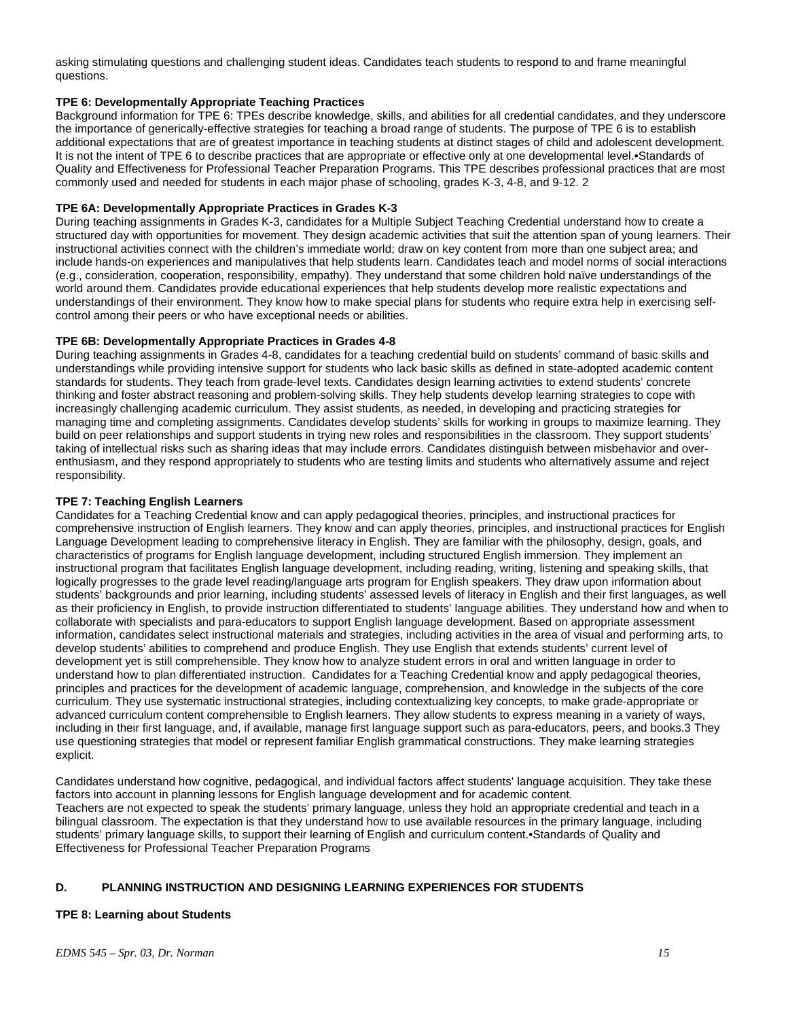asking stimulating questions and challenging student ideas. Candidates teach students to respond to and frame meaningful questions.

#### **TPE 6: Developmentally Appropriate Teaching Practices**

Background information for TPE 6: TPEs describe knowledge, skills, and abilities for all credential candidates, and they underscore the importance of generically-effective strategies for teaching a broad range of students. The purpose of TPE 6 is to establish additional expectations that are of greatest importance in teaching students at distinct stages of child and adolescent development. It is not the intent of TPE 6 to describe practices that are appropriate or effective only at one developmental level.•Standards of Quality and Effectiveness for Professional Teacher Preparation Programs. This TPE describes professional practices that are most commonly used and needed for students in each major phase of schooling, grades K-3, 4-8, and 9-12. 2

#### **TPE 6A: Developmentally Appropriate Practices in Grades K-3**

During teaching assignments in Grades K-3, candidates for a Multiple Subject Teaching Credential understand how to create a structured day with opportunities for movement. They design academic activities that suit the attention span of young learners. Their instructional activities connect with the children's immediate world; draw on key content from more than one subject area; and include hands-on experiences and manipulatives that help students learn. Candidates teach and model norms of social interactions (e.g., consideration, cooperation, responsibility, empathy). They understand that some children hold naïve understandings of the world around them. Candidates provide educational experiences that help students develop more realistic expectations and understandings of their environment. They know how to make special plans for students who require extra help in exercising selfcontrol among their peers or who have exceptional needs or abilities.

#### **TPE 6B: Developmentally Appropriate Practices in Grades 4-8**

During teaching assignments in Grades 4-8, candidates for a teaching credential build on students' command of basic skills and understandings while providing intensive support for students who lack basic skills as defined in state-adopted academic content standards for students. They teach from grade-level texts. Candidates design learning activities to extend students' concrete thinking and foster abstract reasoning and problem-solving skills. They help students develop learning strategies to cope with increasingly challenging academic curriculum. They assist students, as needed, in developing and practicing strategies for managing time and completing assignments. Candidates develop students' skills for working in groups to maximize learning. They build on peer relationships and support students in trying new roles and responsibilities in the classroom. They support students' taking of intellectual risks such as sharing ideas that may include errors. Candidates distinguish between misbehavior and overenthusiasm, and they respond appropriately to students who are testing limits and students who alternatively assume and reject responsibility.

#### **TPE 7: Teaching English Learners**

Candidates for a Teaching Credential know and can apply pedagogical theories, principles, and instructional practices for comprehensive instruction of English learners. They know and can apply theories, principles, and instructional practices for English Language Development leading to comprehensive literacy in English. They are familiar with the philosophy, design, goals, and characteristics of programs for English language development, including structured English immersion. They implement an instructional program that facilitates English language development, including reading, writing, listening and speaking skills, that logically progresses to the grade level reading/language arts program for English speakers. They draw upon information about students' backgrounds and prior learning, including students' assessed levels of literacy in English and their first languages, as well as their proficiency in English, to provide instruction differentiated to students' language abilities. They understand how and when to collaborate with specialists and para-educators to support English language development. Based on appropriate assessment information, candidates select instructional materials and strategies, including activities in the area of visual and performing arts, to develop students' abilities to comprehend and produce English. They use English that extends students' current level of development yet is still comprehensible. They know how to analyze student errors in oral and written language in order to understand how to plan differentiated instruction. Candidates for a Teaching Credential know and apply pedagogical theories, principles and practices for the development of academic language, comprehension, and knowledge in the subjects of the core curriculum. They use systematic instructional strategies, including contextualizing key concepts, to make grade-appropriate or advanced curriculum content comprehensible to English learners. They allow students to express meaning in a variety of ways, including in their first language, and, if available, manage first language support such as para-educators, peers, and books.3 They use questioning strategies that model or represent familiar English grammatical constructions. They make learning strategies explicit.

Candidates understand how cognitive, pedagogical, and individual factors affect students' language acquisition. They take these factors into account in planning lessons for English language development and for academic content. Teachers are not expected to speak the students' primary language, unless they hold an appropriate credential and teach in a bilingual classroom. The expectation is that they understand how to use available resources in the primary language, including students' primary language skills, to support their learning of English and curriculum content.•Standards of Quality and Effectiveness for Professional Teacher Preparation Programs

#### **D. PLANNING INSTRUCTION AND DESIGNING LEARNING EXPERIENCES FOR STUDENTS**

#### **TPE 8: Learning about Students**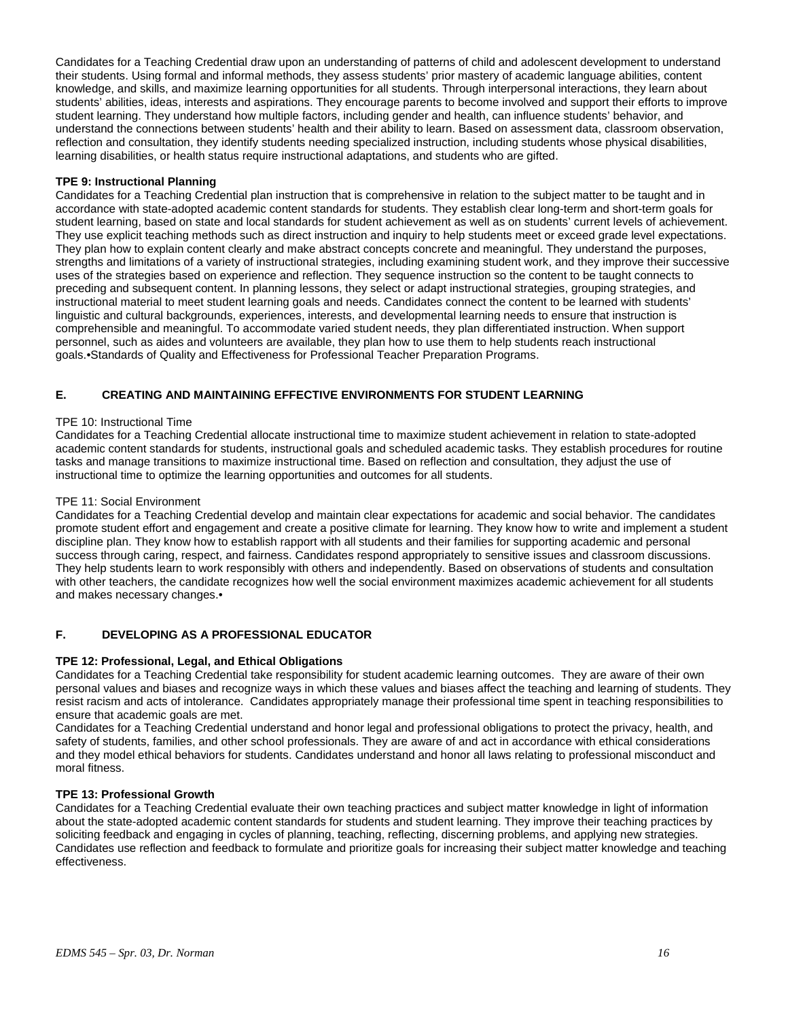Candidates for a Teaching Credential draw upon an understanding of patterns of child and adolescent development to understand their students. Using formal and informal methods, they assess students' prior mastery of academic language abilities, content knowledge, and skills, and maximize learning opportunities for all students. Through interpersonal interactions, they learn about students' abilities, ideas, interests and aspirations. They encourage parents to become involved and support their efforts to improve student learning. They understand how multiple factors, including gender and health, can influence students' behavior, and understand the connections between students' health and their ability to learn. Based on assessment data, classroom observation, reflection and consultation, they identify students needing specialized instruction, including students whose physical disabilities, learning disabilities, or health status require instructional adaptations, and students who are gifted.

#### **TPE 9: Instructional Planning**

Candidates for a Teaching Credential plan instruction that is comprehensive in relation to the subject matter to be taught and in accordance with state-adopted academic content standards for students. They establish clear long-term and short-term goals for student learning, based on state and local standards for student achievement as well as on students' current levels of achievement. They use explicit teaching methods such as direct instruction and inquiry to help students meet or exceed grade level expectations. They plan how to explain content clearly and make abstract concepts concrete and meaningful. They understand the purposes, strengths and limitations of a variety of instructional strategies, including examining student work, and they improve their successive uses of the strategies based on experience and reflection. They sequence instruction so the content to be taught connects to preceding and subsequent content. In planning lessons, they select or adapt instructional strategies, grouping strategies, and instructional material to meet student learning goals and needs. Candidates connect the content to be learned with students' linguistic and cultural backgrounds, experiences, interests, and developmental learning needs to ensure that instruction is comprehensible and meaningful. To accommodate varied student needs, they plan differentiated instruction. When support personnel, such as aides and volunteers are available, they plan how to use them to help students reach instructional goals.•Standards of Quality and Effectiveness for Professional Teacher Preparation Programs.

#### **E. CREATING AND MAINTAINING EFFECTIVE ENVIRONMENTS FOR STUDENT LEARNING**

#### TPE 10: Instructional Time

Candidates for a Teaching Credential allocate instructional time to maximize student achievement in relation to state-adopted academic content standards for students, instructional goals and scheduled academic tasks. They establish procedures for routine tasks and manage transitions to maximize instructional time. Based on reflection and consultation, they adjust the use of instructional time to optimize the learning opportunities and outcomes for all students.

#### TPE 11: Social Environment

Candidates for a Teaching Credential develop and maintain clear expectations for academic and social behavior. The candidates promote student effort and engagement and create a positive climate for learning. They know how to write and implement a student discipline plan. They know how to establish rapport with all students and their families for supporting academic and personal success through caring, respect, and fairness. Candidates respond appropriately to sensitive issues and classroom discussions. They help students learn to work responsibly with others and independently. Based on observations of students and consultation with other teachers, the candidate recognizes how well the social environment maximizes academic achievement for all students and makes necessary changes.•

#### **F. DEVELOPING AS A PROFESSIONAL EDUCATOR**

#### **TPE 12: Professional, Legal, and Ethical Obligations**

Candidates for a Teaching Credential take responsibility for student academic learning outcomes. They are aware of their own personal values and biases and recognize ways in which these values and biases affect the teaching and learning of students. They resist racism and acts of intolerance. Candidates appropriately manage their professional time spent in teaching responsibilities to ensure that academic goals are met.

Candidates for a Teaching Credential understand and honor legal and professional obligations to protect the privacy, health, and safety of students, families, and other school professionals. They are aware of and act in accordance with ethical considerations and they model ethical behaviors for students. Candidates understand and honor all laws relating to professional misconduct and moral fitness.

#### **TPE 13: Professional Growth**

Candidates for a Teaching Credential evaluate their own teaching practices and subject matter knowledge in light of information about the state-adopted academic content standards for students and student learning. They improve their teaching practices by soliciting feedback and engaging in cycles of planning, teaching, reflecting, discerning problems, and applying new strategies. Candidates use reflection and feedback to formulate and prioritize goals for increasing their subject matter knowledge and teaching effectiveness.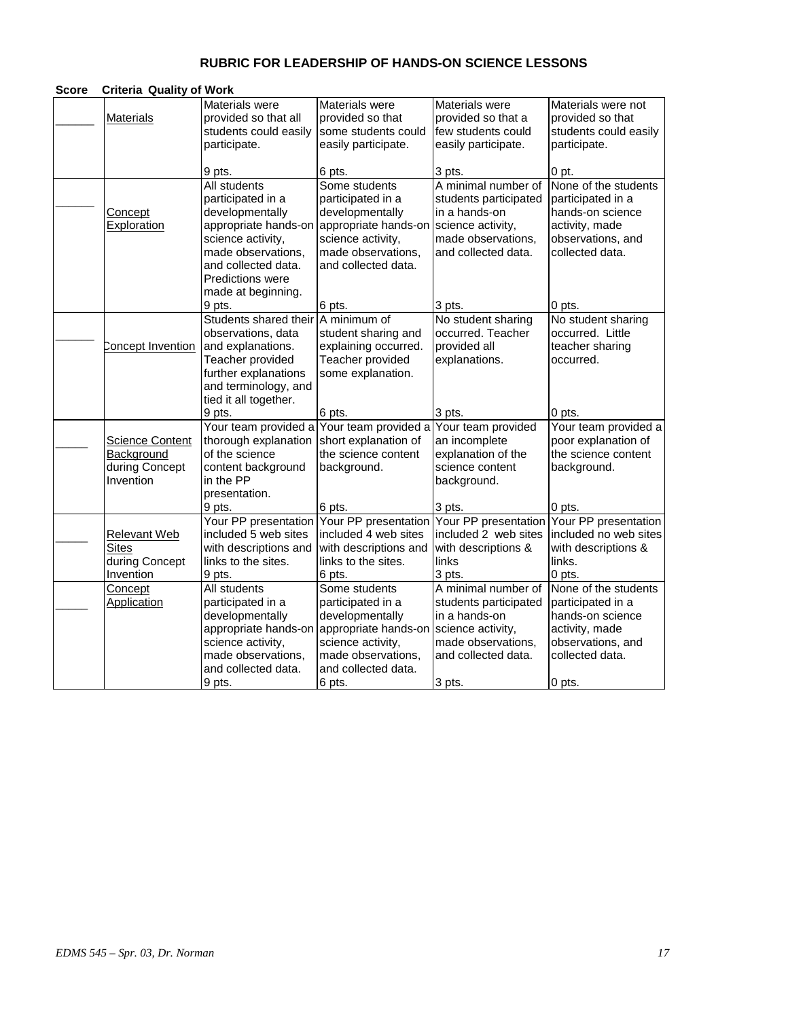# **RUBRIC FOR LEADERSHIP OF HANDS-ON SCIENCE LESSONS**

| Score | <b>Criteria Quality of Work</b> |                                                                 |                                                           |                                                            |                                                                 |
|-------|---------------------------------|-----------------------------------------------------------------|-----------------------------------------------------------|------------------------------------------------------------|-----------------------------------------------------------------|
|       | <b>Materials</b>                | Materials were<br>provided so that all<br>students could easily | Materials were<br>provided so that<br>some students could | Materials were<br>provided so that a<br>few students could | Materials were not<br>provided so that<br>students could easily |
|       |                                 | participate.                                                    | easily participate.                                       | easily participate.                                        | participate.                                                    |
|       |                                 | 9 pts.                                                          | 6 pts.                                                    | 3 pts.                                                     | $0$ pt.                                                         |
|       |                                 | All students                                                    | Some students                                             | A minimal number of                                        | None of the students                                            |
|       |                                 | participated in a                                               | participated in a                                         | students participated                                      | participated in a                                               |
|       | <u>Concept</u>                  | developmentally                                                 | developmentally                                           | in a hands-on                                              | hands-on science                                                |
|       | <b>Exploration</b>              | appropriate hands-on                                            | appropriate hands-on                                      | science activity,                                          | activity, made                                                  |
|       |                                 | science activity,<br>made observations,                         | science activity,<br>made observations,                   | made observations,<br>and collected data.                  | observations, and<br>collected data.                            |
|       |                                 | and collected data.                                             | and collected data.                                       |                                                            |                                                                 |
|       |                                 | <b>Predictions were</b>                                         |                                                           |                                                            |                                                                 |
|       |                                 | made at beginning.                                              |                                                           |                                                            |                                                                 |
|       |                                 | 9 pts.                                                          | 6 pts.                                                    | 3 pts.                                                     | 0 pts.                                                          |
|       |                                 | Students shared their                                           | A minimum of                                              | No student sharing                                         | No student sharing                                              |
|       |                                 | observations, data                                              | student sharing and                                       | occurred. Teacher                                          | occurred. Little                                                |
|       | Concept Invention               | and explanations.                                               | explaining occurred.                                      | provided all                                               | teacher sharing                                                 |
|       |                                 | Teacher provided                                                | Teacher provided                                          | explanations.                                              | occurred.                                                       |
|       |                                 | further explanations                                            | some explanation.                                         |                                                            |                                                                 |
|       |                                 | and terminology, and<br>tied it all together.                   |                                                           |                                                            |                                                                 |
|       |                                 | 9 pts.                                                          | 6 pts.                                                    | 3 pts.                                                     | 0 pts.                                                          |
|       |                                 | Your team provided a                                            | Your team provided a                                      | Your team provided                                         | Your team provided a                                            |
|       | <b>Science Content</b>          | thorough explanation                                            | short explanation of                                      | an incomplete                                              | poor explanation of                                             |
|       | Background                      | of the science                                                  | the science content                                       | explanation of the                                         | the science content                                             |
|       | during Concept                  | content background                                              | background.                                               | science content                                            | background.                                                     |
|       | Invention                       | in the PP                                                       |                                                           | background.                                                |                                                                 |
|       |                                 | presentation.                                                   |                                                           |                                                            |                                                                 |
|       |                                 | 9 pts.<br>Your PP presentation                                  | 6 pts.<br>Your PP presentation                            | 3 pts.                                                     | 0 pts.<br>Your PP presentation Your PP presentation             |
|       | <b>Relevant Web</b>             | included 5 web sites                                            | included 4 web sites                                      | included 2 web sites                                       | included no web sites                                           |
|       | <b>Sites</b>                    | with descriptions and                                           | with descriptions and                                     | with descriptions &                                        | with descriptions &                                             |
|       | during Concept                  | links to the sites.                                             | links to the sites.                                       | links                                                      | links.                                                          |
|       | Invention                       | 9 pts.                                                          | 6 pts.                                                    | 3 pts.                                                     | 0 pts.                                                          |
|       | Concept                         | All students                                                    | Some students                                             | A minimal number of                                        | None of the students                                            |
|       | Application                     | participated in a                                               | participated in a                                         | students participated                                      | participated in a                                               |
|       |                                 | developmentally                                                 | developmentally                                           | in a hands-on                                              | hands-on science                                                |
|       |                                 | appropriate hands-on                                            | appropriate hands-on                                      | science activity,                                          | activity, made                                                  |
|       |                                 | science activity,                                               | science activity,                                         | made observations,                                         | observations, and                                               |
|       |                                 | made observations,<br>and collected data.                       | made observations,<br>and collected data.                 | and collected data.                                        | collected data.                                                 |
|       |                                 | 9 pts.                                                          | 6 pts.                                                    | 3 pts.                                                     | 0 pts.                                                          |
|       |                                 |                                                                 |                                                           |                                                            |                                                                 |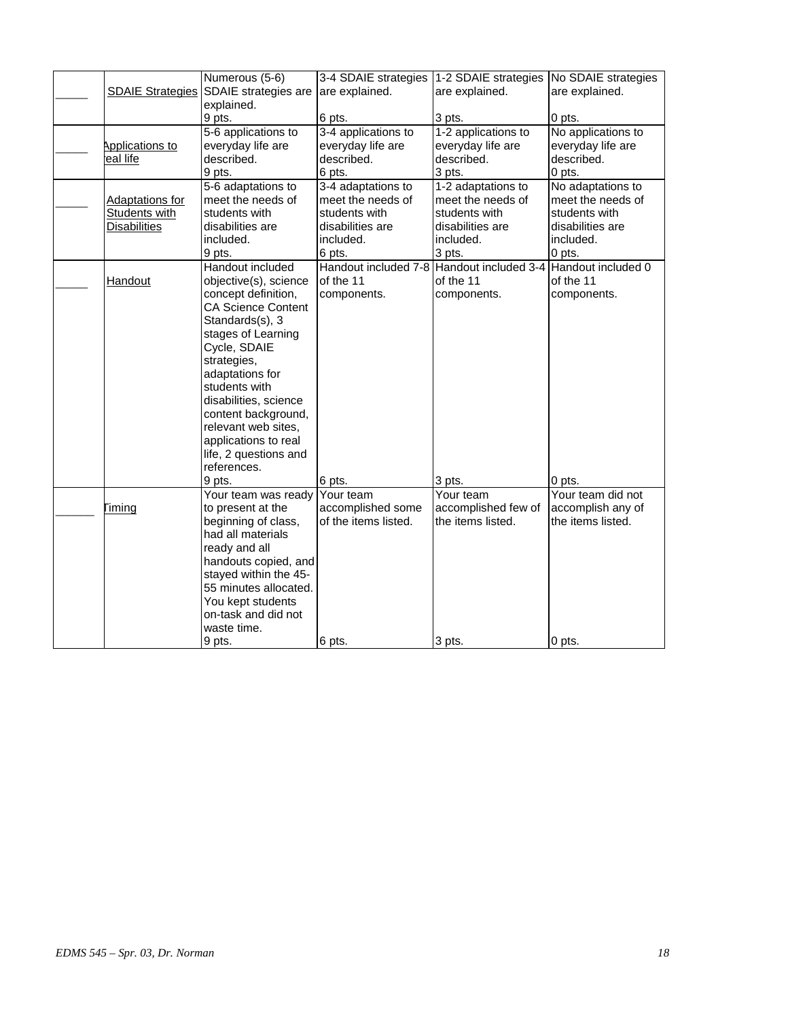|                         | Numerous (5-6)            | 3-4 SDAIE strategies                      | 1-2 SDAIE strategies | No SDAIE strategies |
|-------------------------|---------------------------|-------------------------------------------|----------------------|---------------------|
| <b>SDAIE Strategies</b> | SDAIE strategies are      | are explained.                            | are explained.       | are explained.      |
|                         | explained.                |                                           |                      |                     |
|                         | 9 pts.                    | 6 pts.                                    | 3 pts.               | 0 pts.              |
|                         | 5-6 applications to       | 3-4 applications to                       | 1-2 applications to  | No applications to  |
| Applications to         | everyday life are         | everyday life are                         | everyday life are    | everyday life are   |
| eal life                | described.                | described.                                | described.           | described.          |
|                         | 9 pts.                    | 6 pts.                                    | 3 pts.               | 0 pts.              |
|                         | 5-6 adaptations to        | 3-4 adaptations to                        | 1-2 adaptations to   | No adaptations to   |
| <b>Adaptations for</b>  | meet the needs of         | meet the needs of                         | meet the needs of    | meet the needs of   |
| Students with           | students with             | students with                             | students with        | students with       |
| <b>Disabilities</b>     | disabilities are          | disabilities are                          | disabilities are     | disabilities are    |
|                         | included.                 | included.                                 | included.            | included.           |
|                         | 9 pts.                    | 6 pts.                                    | 3 pts.               | 0 pts.              |
|                         | Handout included          | Handout included 7-8 Handout included 3-4 |                      | Handout included 0  |
| <b>Handout</b>          | objective(s), science     | of the 11                                 | of the 11            | of the 11           |
|                         | concept definition,       | components.                               | components.          | components.         |
|                         | <b>CA Science Content</b> |                                           |                      |                     |
|                         | Standards(s), 3           |                                           |                      |                     |
|                         | stages of Learning        |                                           |                      |                     |
|                         | Cycle, SDAIE              |                                           |                      |                     |
|                         | strategies,               |                                           |                      |                     |
|                         | adaptations for           |                                           |                      |                     |
|                         | students with             |                                           |                      |                     |
|                         | disabilities, science     |                                           |                      |                     |
|                         | content background,       |                                           |                      |                     |
|                         | relevant web sites,       |                                           |                      |                     |
|                         | applications to real      |                                           |                      |                     |
|                         | life, 2 questions and     |                                           |                      |                     |
|                         | references.               |                                           |                      |                     |
|                         | 9 pts.                    | 6 pts.                                    | 3 pts.               | 0 pts.              |
|                         | Your team was ready       | Your team                                 | Your team            | Your team did not   |
| Timing                  | to present at the         | accomplished some                         | accomplished few of  | accomplish any of   |
|                         | beginning of class,       | of the items listed.                      | the items listed.    | the items listed.   |
|                         | had all materials         |                                           |                      |                     |
|                         | ready and all             |                                           |                      |                     |
|                         | handouts copied, and      |                                           |                      |                     |
|                         | stayed within the 45-     |                                           |                      |                     |
|                         | 55 minutes allocated.     |                                           |                      |                     |
|                         | You kept students         |                                           |                      |                     |
|                         | on-task and did not       |                                           |                      |                     |
|                         | waste time.               |                                           |                      |                     |
|                         | 9 pts.                    | 6 pts.                                    | 3 pts.               | 0 pts.              |
|                         |                           |                                           |                      |                     |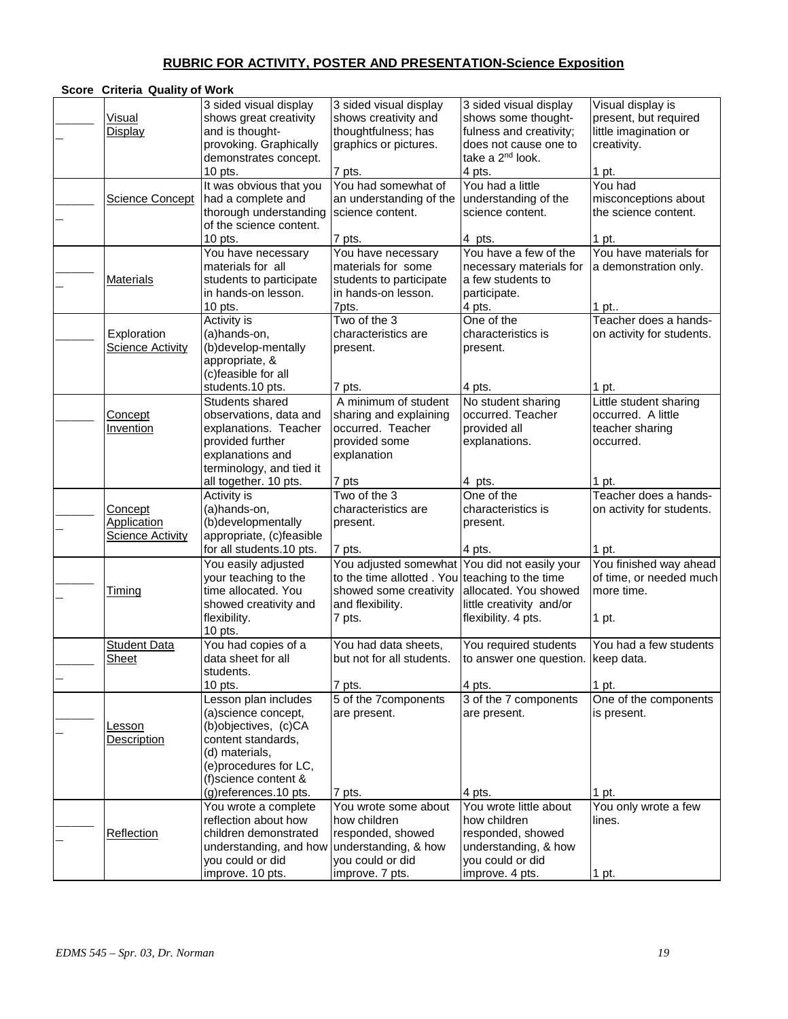# **RUBRIC FOR ACTIVITY, POSTER AND PRESENTATION-Science Exposition**

| Score Criteria Quality of Work                    |                                                                                                                                                                                       |                                                                                                                                                         |                                                                                                                                   |                                                                                       |
|---------------------------------------------------|---------------------------------------------------------------------------------------------------------------------------------------------------------------------------------------|---------------------------------------------------------------------------------------------------------------------------------------------------------|-----------------------------------------------------------------------------------------------------------------------------------|---------------------------------------------------------------------------------------|
| <b>Visual</b><br>Display                          | 3 sided visual display<br>shows great creativity<br>and is thought-<br>provoking. Graphically<br>demonstrates concept.                                                                | 3 sided visual display<br>shows creativity and<br>thoughtfulness; has<br>graphics or pictures.                                                          | 3 sided visual display<br>shows some thought-<br>fulness and creativity;<br>does not cause one to<br>take a 2 <sup>nd</sup> look. | Visual display is<br>present, but required<br>little imagination or<br>creativity.    |
| <b>Science Concept</b>                            | 10 pts.<br>It was obvious that you<br>had a complete and<br>thorough understanding<br>of the science content.<br>10 pts.                                                              | 7 pts.<br>You had somewhat of<br>an understanding of the<br>science content.<br>7 pts.                                                                  | 4 pts.<br>You had a little<br>understanding of the<br>science content.<br>4 pts.                                                  | 1 pt.<br>You had<br>misconceptions about<br>the science content.<br>1 pt.             |
| <b>Materials</b>                                  | You have necessary<br>materials for all<br>students to participate<br>in hands-on lesson.<br>10 pts.                                                                                  | You have necessary<br>materials for some<br>students to participate<br>in hands-on lesson.<br>7pts.                                                     | You have a few of the<br>necessary materials for<br>a few students to<br>participate.<br>4 pts.                                   | You have materials for<br>a demonstration only.<br>1 pt                               |
| Exploration<br><b>Science Activity</b>            | <b>Activity is</b><br>(a)hands-on,<br>(b)develop-mentally<br>appropriate, &<br>(c)feasible for all<br>students.10 pts.                                                                | Two of the 3<br>characteristics are<br>present.<br>7 pts.                                                                                               | One of the<br>characteristics is<br>present.<br>4 pts.                                                                            | Teacher does a hands-<br>on activity for students.<br>1 pt.                           |
| <b>Concept</b><br><b>Invention</b>                | Students shared<br>observations, data and<br>explanations. Teacher<br>provided further<br>explanations and<br>terminology, and tied it<br>all together. 10 pts.                       | A minimum of student<br>sharing and explaining<br>occurred. Teacher<br>provided some<br>explanation<br>7 pts                                            | No student sharing<br>occurred. Teacher<br>provided all<br>explanations.<br>4 pts.                                                | Little student sharing<br>occurred. A little<br>teacher sharing<br>occurred.<br>1 pt. |
| Concept<br>Application<br><b>Science Activity</b> | Activity is<br>(a)hands-on,<br>(b)developmentally<br>appropriate, (c)feasible<br>for all students.10 pts.                                                                             | Two of the 3<br>characteristics are<br>present.<br>7 pts.                                                                                               | One of the<br>characteristics is<br>present.<br>4 pts.                                                                            | Teacher does a hands-<br>on activity for students.<br>1 pt.                           |
| <u>Timing</u>                                     | You easily adjusted<br>your teaching to the<br>time allocated. You<br>showed creativity and<br>flexibility.<br>10 pts.                                                                | You adjusted somewhat You did not easily your<br>to the time allotted. You teaching to the time<br>showed some creativity<br>and flexibility.<br>7 pts. | allocated. You showed<br>little creativity and/or<br>flexibility. 4 pts.                                                          | You finished way ahead<br>of time, or needed much<br>more time.<br>1 pt.              |
| <b>Student Data</b><br><u>Sheet</u>               | You had copies of a<br>data sheet for all<br>students.<br>10 pts.                                                                                                                     | You had data sheets,<br>but not for all students.<br>7 pts.                                                                                             | You required students<br>to answer one question. [keep data.]<br>4 pts.                                                           | You had a few students<br>1 pt.                                                       |
| Lesson<br>Description                             | Lesson plan includes<br>(a)science concept,<br>(b)objectives, (c)CA<br>content standards.<br>(d) materials,<br>(e)procedures for LC,<br>(f)science content &<br>(g)references.10 pts. | 5 of the 7components<br>are present.<br>7 pts.                                                                                                          | 3 of the 7 components<br>are present.<br>4 pts.                                                                                   | One of the components<br>is present.<br>1 pt.                                         |
| Reflection                                        | You wrote a complete<br>reflection about how<br>children demonstrated<br>understanding, and how understanding, & how<br>you could or did<br>improve. 10 pts.                          | You wrote some about<br>how children<br>responded, showed<br>you could or did<br>improve. 7 pts.                                                        | You wrote little about<br>how children<br>responded, showed<br>understanding, & how<br>you could or did<br>improve. 4 pts.        | You only wrote a few<br>lines.<br>1 pt.                                               |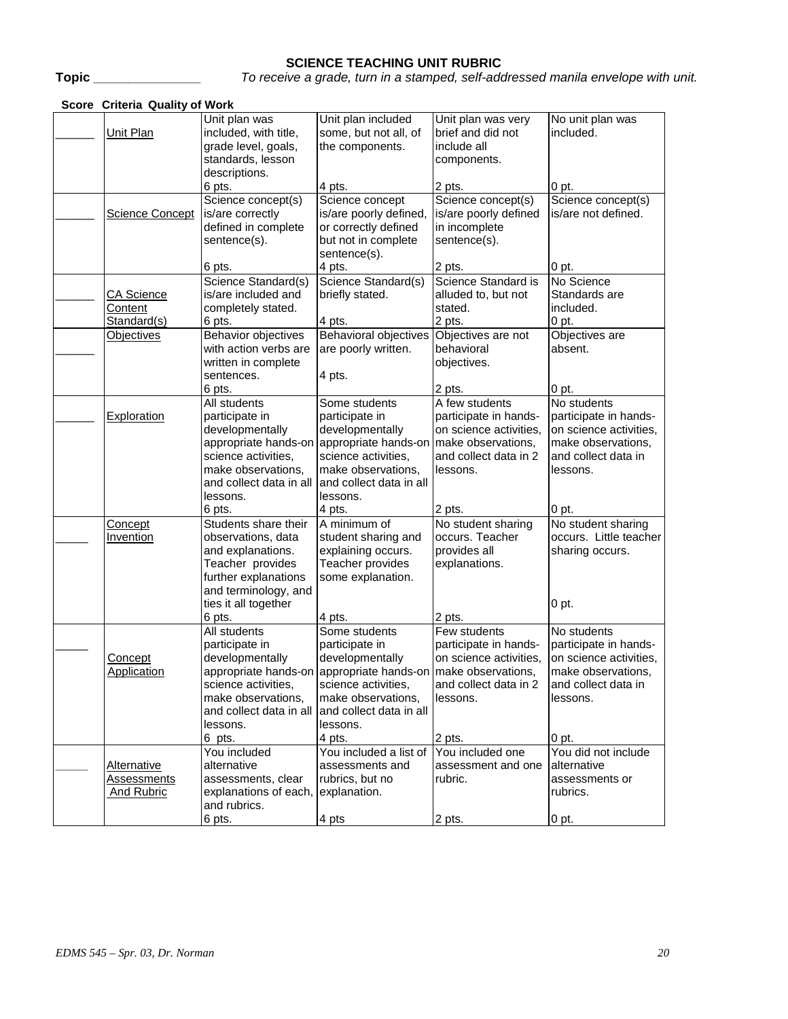# **SCIENCE TEACHING UNIT RUBRIC**

**Topic \_\_\_\_\_\_\_\_\_\_\_\_\_\_\_** *To receive a grade, turn in a stamped, self-addressed manila envelope with unit.*

| Score Criteria Quality of Work |                                                 |                                                              |                        |                        |
|--------------------------------|-------------------------------------------------|--------------------------------------------------------------|------------------------|------------------------|
|                                | Unit plan was                                   | Unit plan included                                           | Unit plan was very     | No unit plan was       |
| Unit Plan                      | included, with title,                           | some, but not all, of                                        | brief and did not      | included.              |
|                                | grade level, goals,                             | the components.                                              | include all            |                        |
|                                | standards, lesson                               |                                                              | components.            |                        |
|                                | descriptions.                                   |                                                              |                        |                        |
|                                | 6 pts.                                          | 4 pts.                                                       | 2 pts.                 | 0 pt.                  |
|                                | Science concept(s)                              | Science concept                                              | Science concept(s)     | Science concept(s)     |
| Science Concept                | is/are correctly                                | is/are poorly defined,                                       | is/are poorly defined  | is/are not defined.    |
|                                | defined in complete                             | or correctly defined                                         | in incomplete          |                        |
|                                | sentence(s).                                    | but not in complete                                          | sentence(s).           |                        |
|                                |                                                 | sentence(s).                                                 |                        |                        |
|                                | 6 pts.                                          | 4 pts.                                                       | 2 pts.                 | 0 pt.                  |
|                                | Science Standard(s)                             | Science Standard(s)                                          | Science Standard is    | No Science             |
| <b>CA Science</b>              | is/are included and                             | briefly stated.                                              | alluded to, but not    | Standards are          |
| Content                        | completely stated.                              |                                                              | stated.                | included.              |
| Standard(s)                    | 6 pts.                                          | 4 pts.                                                       | 2 pts.                 | 0 pt.                  |
| <b>Objectives</b>              | Behavior objectives                             | <b>Behavioral objectives</b>                                 | Objectives are not     | Objectives are         |
|                                | with action verbs are                           | are poorly written.                                          | behavioral             | absent.                |
|                                | written in complete                             |                                                              | objectives.            |                        |
|                                | sentences.                                      | 4 pts.                                                       |                        |                        |
|                                | 6 pts.                                          |                                                              | 2 pts.                 | 0 pt.                  |
|                                | All students                                    | Some students                                                | A few students         | No students            |
| Exploration                    | participate in                                  | participate in                                               | participate in hands-  | participate in hands-  |
|                                | developmentally                                 | developmentally                                              | on science activities, | on science activities, |
|                                | appropriate hands-on                            | appropriate hands-on                                         | make observations,     | make observations,     |
|                                | science activities,                             | science activities,                                          | and collect data in 2  | and collect data in    |
|                                | make observations,                              | make observations,                                           | lessons.               | lessons.               |
|                                | and collect data in all                         | and collect data in all                                      |                        |                        |
|                                | lessons.                                        | lessons.                                                     |                        |                        |
|                                | 6 pts.                                          | 4 pts.                                                       | 2 pts.                 | 0 pt.                  |
| Concept                        | Students share their                            | A minimum of                                                 | No student sharing     | No student sharing     |
| Invention                      | observations, data                              | student sharing and                                          | occurs. Teacher        | occurs. Little teacher |
|                                | and explanations.                               | explaining occurs.                                           | provides all           | sharing occurs.        |
|                                | Teacher provides                                | Teacher provides                                             | explanations.          |                        |
|                                | further explanations                            | some explanation.                                            |                        |                        |
|                                | and terminology, and                            |                                                              |                        |                        |
|                                | ties it all together                            |                                                              |                        | $0$ pt.                |
|                                | 6 pts.                                          | 4 pts.                                                       | 2 pts.                 |                        |
|                                | All students                                    | Some students                                                | Few students           | No students            |
|                                | participate in                                  | participate in                                               | participate in hands-  | participate in hands-  |
| Concept                        | developmentally                                 | developmentally                                              | on science activities, | on science activities, |
| Application                    |                                                 | appropriate hands-on appropriate hands-on make observations, |                        | make observations,     |
|                                | science activities,                             | science activities,                                          | and collect data in 2  | and collect data in    |
|                                | make observations,                              | make observations,                                           | lessons.               | lessons.               |
|                                | and collect data in all and collect data in all |                                                              |                        |                        |
|                                | lessons.                                        | lessons.                                                     |                        |                        |
|                                | 6 pts.                                          | 4 pts.                                                       | 2 pts.                 | 0 pt.                  |
|                                | You included                                    | You included a list of                                       | You included one       | You did not include    |
| <b>Alternative</b>             | alternative                                     | assessments and                                              | assessment and one     | alternative            |
| Assessments                    | assessments, clear                              | rubrics, but no                                              | rubric.                | assessments or         |
| <b>And Rubric</b>              | explanations of each, explanation.              |                                                              |                        | rubrics.               |
|                                | and rubrics.                                    |                                                              |                        |                        |
|                                | 6 pts.                                          | 4 pts                                                        | 2 pts.                 | 0 pt.                  |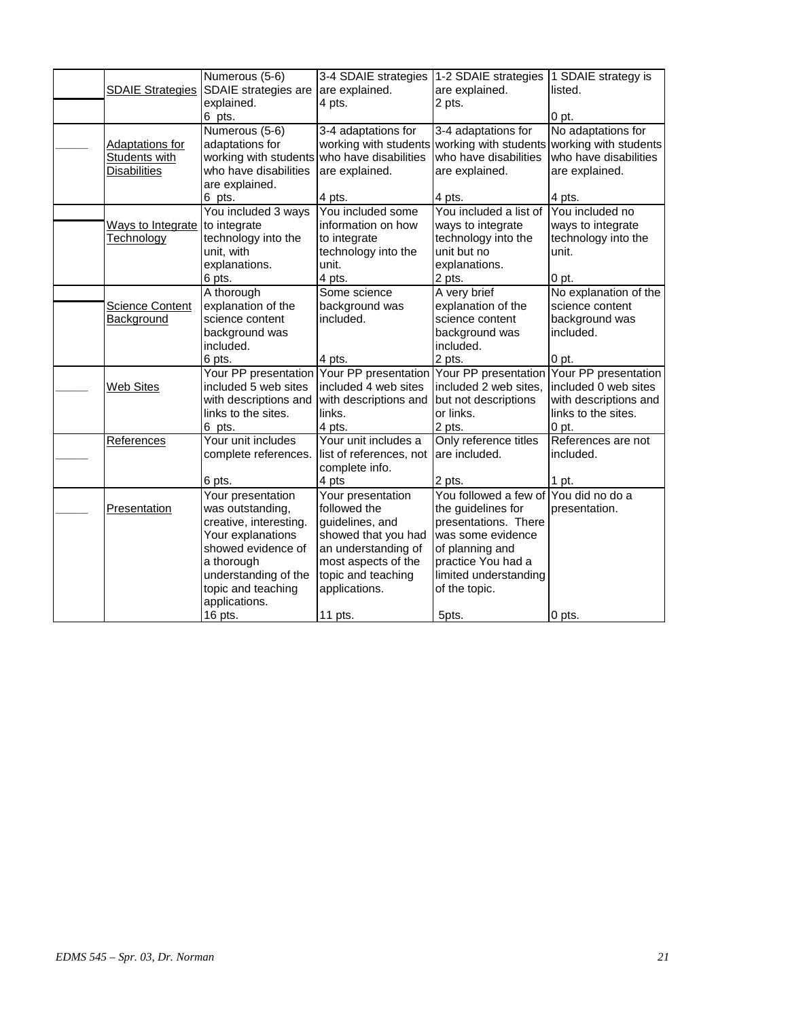|                         | Numerous (5-6)         | 3-4 SDAIE strategies                      | 1-2 SDAIE strategies                  | 1 SDAIE strategy is   |
|-------------------------|------------------------|-------------------------------------------|---------------------------------------|-----------------------|
| <b>SDAIE Strategies</b> | SDAIE strategies are   | are explained.                            | are explained.                        | listed.               |
|                         | explained.             | 4 pts.                                    | 2 pts.                                |                       |
|                         | 6 pts.                 |                                           |                                       | 0 <sub>pt.</sub>      |
|                         | Numerous (5-6)         | 3-4 adaptations for                       | 3-4 adaptations for                   | No adaptations for    |
| <b>Adaptations for</b>  | adaptations for        | working with students                     | working with students                 | working with students |
| Students with           | working with students  | who have disabilities                     | who have disabilities                 | who have disabilities |
| <b>Disabilities</b>     | who have disabilities  | are explained.                            | are explained.                        | are explained.        |
|                         | are explained.         |                                           |                                       |                       |
|                         | 6 pts.                 | 4 pts.                                    | 4 pts.                                | 4 pts.                |
|                         | You included 3 ways    | You included some                         | You included a list of                | You included no       |
| Ways to Integrate       | to integrate           | information on how                        | ways to integrate                     | ways to integrate     |
| Technology              | technology into the    | to integrate                              | technology into the                   | technology into the   |
|                         | unit, with             | technology into the                       | unit but no                           | unit.                 |
|                         | explanations.          | unit.                                     | explanations.                         |                       |
|                         | 6 pts.                 | 4 pts.                                    | 2 pts.                                | 0 pt.                 |
|                         | A thorough             | Some science                              | A very brief                          | No explanation of the |
| <b>Science Content</b>  | explanation of the     | background was                            | explanation of the                    | science content       |
| Background              | science content        | included.                                 | science content                       | background was        |
|                         | background was         |                                           | background was                        | included.             |
|                         | included.              |                                           | included.                             |                       |
|                         | 6 pts.                 | 4 pts.                                    | 2 pts.                                | 0 pt.                 |
|                         |                        | Your PP presentation Your PP presentation | Your PP presentation                  | Your PP presentation  |
| <b>Web Sites</b>        | included 5 web sites   | included 4 web sites                      | included 2 web sites,                 | included 0 web sites  |
|                         | with descriptions and  | with descriptions and                     | but not descriptions                  | with descriptions and |
|                         | links to the sites.    | links.                                    | or links.                             | links to the sites.   |
|                         | 6 pts.                 | 4 pts.                                    | 2 pts.                                | $0$ pt.               |
| References              | Your unit includes     | Your unit includes a                      | Only reference titles                 | References are not    |
|                         | complete references.   | list of references, not                   | are included.                         | included.             |
|                         |                        | complete info.                            |                                       |                       |
|                         | 6 pts.                 | 4 pts                                     | 2 pts.                                | 1 pt.                 |
|                         | Your presentation      | Your presentation                         | You followed a few of You did no do a |                       |
| Presentation            | was outstanding,       | followed the                              | the guidelines for                    | presentation.         |
|                         | creative, interesting. | guidelines, and                           | presentations. There                  |                       |
|                         | Your explanations      | showed that you had                       | was some evidence                     |                       |
|                         | showed evidence of     | an understanding of                       | of planning and                       |                       |
|                         | a thorough             | most aspects of the                       | practice You had a                    |                       |
|                         | understanding of the   | topic and teaching                        | limited understanding                 |                       |
|                         | topic and teaching     | applications.                             | of the topic.                         |                       |
|                         | applications.          |                                           |                                       |                       |
|                         | 16 pts.                | 11 pts.                                   | 5pts.                                 | 0 pts.                |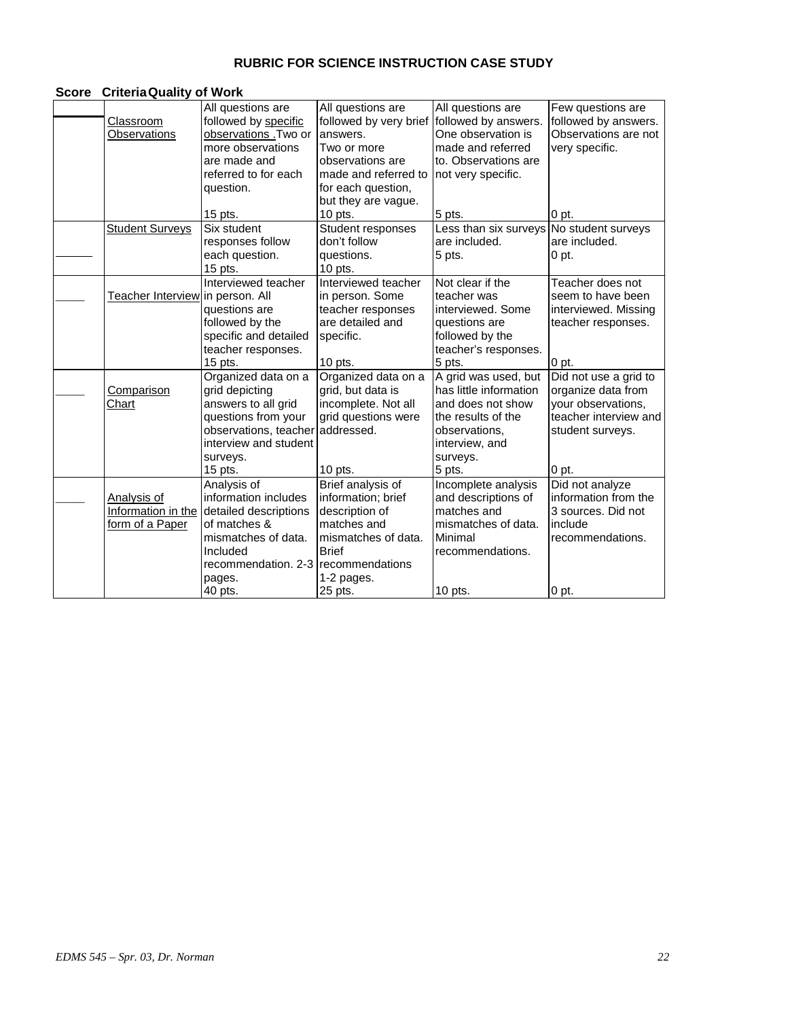# **RUBRIC FOR SCIENCE INSTRUCTION CASE STUDY**

## **Score CriteriaQuality of Work**

|                                  | All questions are                        | All questions are      | All questions are      | Few questions are     |
|----------------------------------|------------------------------------------|------------------------|------------------------|-----------------------|
| Classroom                        | followed by specific                     | followed by very brief | followed by answers.   | followed by answers.  |
| Observations                     | observations .Two or                     | answers.               | One observation is     | Observations are not  |
|                                  | more observations                        | Two or more            | made and referred      | very specific.        |
|                                  | are made and                             | observations are       | to. Observations are   |                       |
|                                  | referred to for each                     | made and referred to   | not very specific.     |                       |
|                                  | question.                                | for each question,     |                        |                       |
|                                  |                                          | but they are vague.    |                        |                       |
|                                  | $15$ pts.                                | $10$ pts.              | 5 pts.                 | 0 pt.                 |
| <b>Student Surveys</b>           | Six student                              | Student responses      | Less than six surveys  | No student surveys    |
|                                  | responses follow                         | don't follow           | are included.          | are included.         |
|                                  | each question.                           | questions.             | 5 pts.                 | 0 pt.                 |
|                                  | 15 pts.                                  | $10$ pts.              |                        |                       |
|                                  | Interviewed teacher                      | Interviewed teacher    | Not clear if the       | Teacher does not      |
| Teacher Interview in person. All |                                          | in person. Some        | teacher was            | seem to have been     |
|                                  | questions are                            | teacher responses      | interviewed. Some      | interviewed. Missing  |
|                                  | followed by the                          | are detailed and       | questions are          | teacher responses.    |
|                                  | specific and detailed                    | specific.              | followed by the        |                       |
|                                  | teacher responses.                       |                        | teacher's responses.   |                       |
|                                  | 15 pts.                                  | $10$ pts.              | 5 pts.                 | 0 <sub>pt.</sub>      |
|                                  | Organized data on a                      | Organized data on a    | A grid was used, but   | Did not use a grid to |
| Comparison                       | grid depicting                           | grid, but data is      | has little information | organize data from    |
| Chart                            | answers to all grid                      | incomplete. Not all    | and does not show      | your observations,    |
|                                  | questions from your                      | grid questions were    | the results of the     | teacher interview and |
|                                  | observations, teacher                    | addressed.             | observations,          | student surveys.      |
|                                  | interview and student                    |                        | interview, and         |                       |
|                                  | surveys.                                 |                        | surveys.               |                       |
|                                  | 15 pts.                                  | 10 pts.                | 5 pts.                 | 0 pt.                 |
|                                  | Analysis of                              | Brief analysis of      | Incomplete analysis    | Did not analyze       |
| Analysis of                      | information includes                     | information; brief     | and descriptions of    | information from the  |
|                                  | Information in the detailed descriptions | description of         | matches and            | 3 sources. Did not    |
| form of a Paper                  | of matches &                             | matches and            | mismatches of data.    | include               |
|                                  | mismatches of data.                      | mismatches of data.    | Minimal                | recommendations.      |
|                                  | Included                                 | <b>Brief</b>           | recommendations.       |                       |
|                                  | recommendation, 2-3                      | recommendations        |                        |                       |
|                                  | pages.                                   | 1-2 pages.             |                        |                       |
|                                  | 40 pts.                                  | 25 pts.                | 10 pts.                | 0 pt.                 |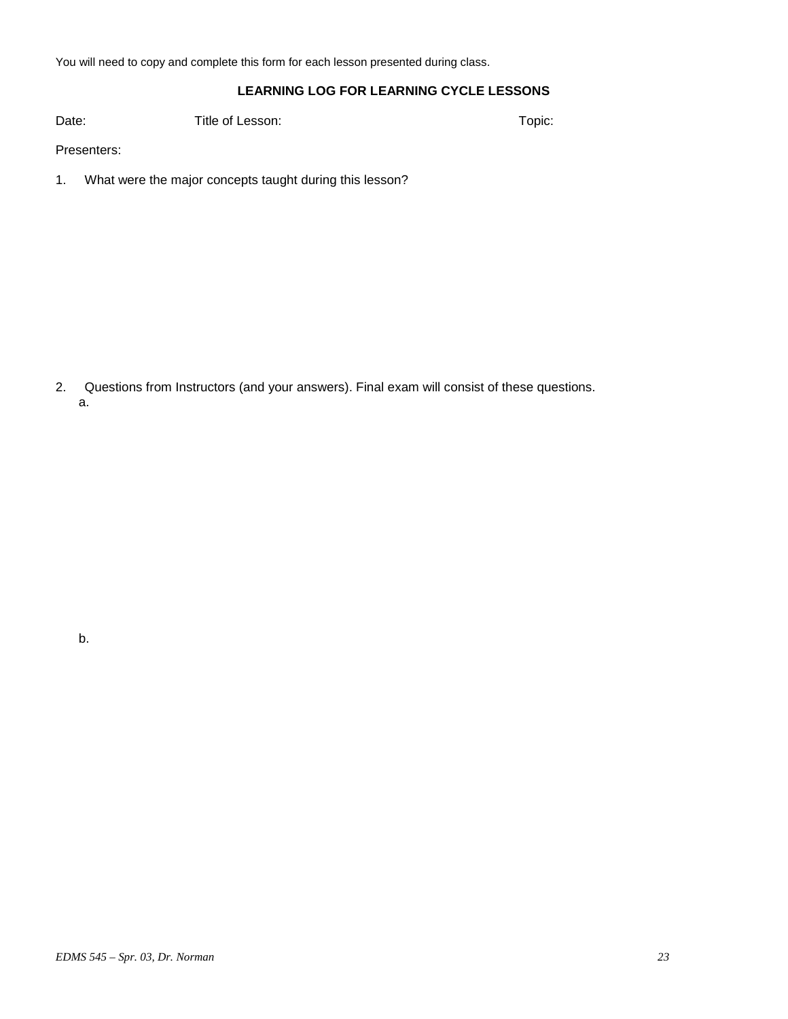You will need to copy and complete this form for each lesson presented during class.

## **LEARNING LOG FOR LEARNING CYCLE LESSONS**

Date: Title of Lesson: The Context of Lesson: Topic:

Presenters:

1. What were the major concepts taught during this lesson?

2. Questions from Instructors (and your answers). Final exam will consist of these questions. a.

b.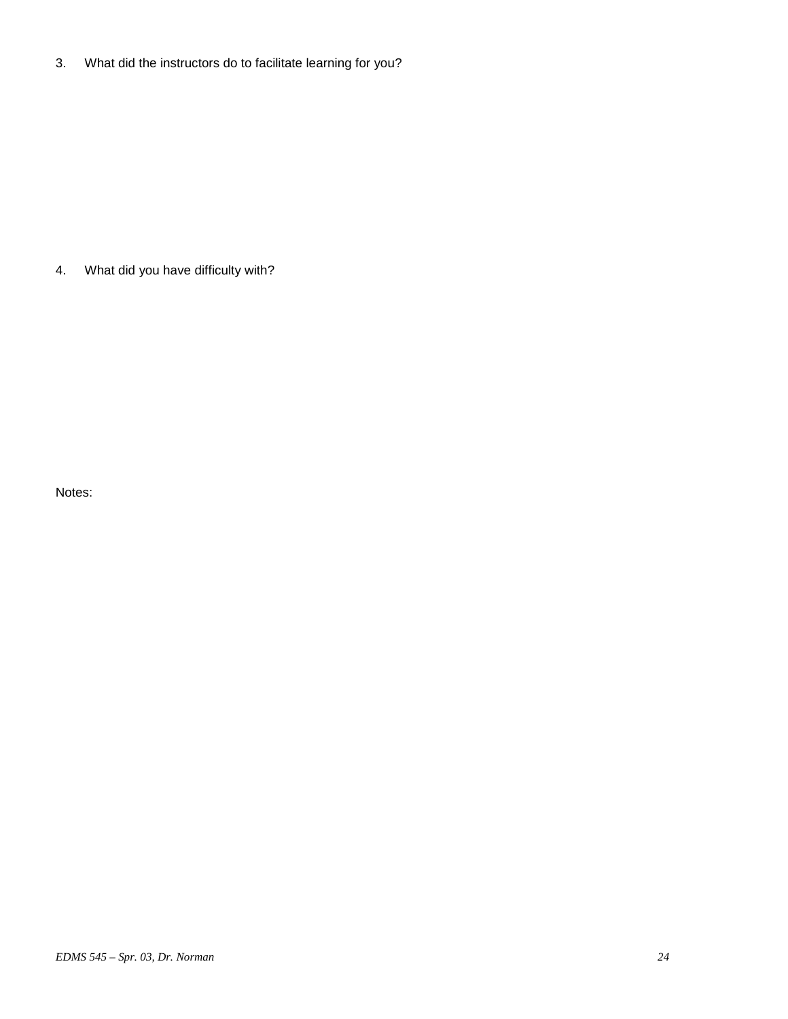3. What did the instructors do to facilitate learning for you?

4. What did you have difficulty with?

Notes: